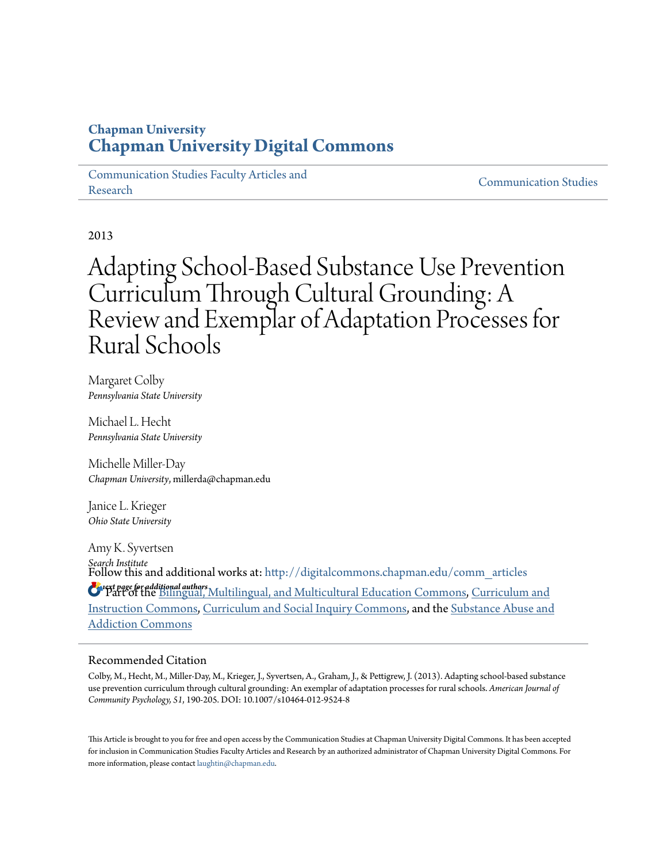# **Chapman University [Chapman University Digital Commons](http://digitalcommons.chapman.edu?utm_source=digitalcommons.chapman.edu%2Fcomm_articles%2F13&utm_medium=PDF&utm_campaign=PDFCoverPages)**

[Communication Studies Faculty Articles and](http://digitalcommons.chapman.edu/comm_articles?utm_source=digitalcommons.chapman.edu%2Fcomm_articles%2F13&utm_medium=PDF&utm_campaign=PDFCoverPages) [Research](http://digitalcommons.chapman.edu/comm_articles?utm_source=digitalcommons.chapman.edu%2Fcomm_articles%2F13&utm_medium=PDF&utm_campaign=PDFCoverPages) [Communication Studies](http://digitalcommons.chapman.edu/communication?utm_source=digitalcommons.chapman.edu%2Fcomm_articles%2F13&utm_medium=PDF&utm_campaign=PDFCoverPages)

2013

# Adapting School-Based Substance Use Prevention Curriculum Through Cultural Grounding: A Review and Exemplar of Adaptation Processes for Rural Schools

Margaret Colby *Pennsylvania State University*

Michael L. Hecht *Pennsylvania State University*

Michelle Miller-Day *Chapman University*, millerda@chapman.edu

Janice L. Krieger *Ohio State University*

Amy K. Syvertsen *Search Institute See next page for additional authors* Part of the [Bilingual, Multilingual, and Multicultural Education Commons](http://network.bepress.com/hgg/discipline/785?utm_source=digitalcommons.chapman.edu%2Fcomm_articles%2F13&utm_medium=PDF&utm_campaign=PDFCoverPages), [Curriculum and](http://network.bepress.com/hgg/discipline/786?utm_source=digitalcommons.chapman.edu%2Fcomm_articles%2F13&utm_medium=PDF&utm_campaign=PDFCoverPages) Follow this and additional works at: [http://digitalcommons.chapman.edu/comm\\_articles](http://digitalcommons.chapman.edu/comm_articles?utm_source=digitalcommons.chapman.edu%2Fcomm_articles%2F13&utm_medium=PDF&utm_campaign=PDFCoverPages) [Instruction Commons](http://network.bepress.com/hgg/discipline/786?utm_source=digitalcommons.chapman.edu%2Fcomm_articles%2F13&utm_medium=PDF&utm_campaign=PDFCoverPages), [Curriculum and Social Inquiry Commons](http://network.bepress.com/hgg/discipline/1038?utm_source=digitalcommons.chapman.edu%2Fcomm_articles%2F13&utm_medium=PDF&utm_campaign=PDFCoverPages), and the [Substance Abuse and](http://network.bepress.com/hgg/discipline/710?utm_source=digitalcommons.chapman.edu%2Fcomm_articles%2F13&utm_medium=PDF&utm_campaign=PDFCoverPages) [Addiction Commons](http://network.bepress.com/hgg/discipline/710?utm_source=digitalcommons.chapman.edu%2Fcomm_articles%2F13&utm_medium=PDF&utm_campaign=PDFCoverPages)

# Recommended Citation

Colby, M., Hecht, M., Miller-Day, M., Krieger, J., Syvertsen, A., Graham, J., & Pettigrew, J. (2013). Adapting school-based substance use prevention curriculum through cultural grounding: An exemplar of adaptation processes for rural schools. *American Journal of Community Psychology, 51*, 190-205. DOI: 10.1007/s10464-012-9524-8

This Article is brought to you for free and open access by the Communication Studies at Chapman University Digital Commons. It has been accepted for inclusion in Communication Studies Faculty Articles and Research by an authorized administrator of Chapman University Digital Commons. For more information, please contact [laughtin@chapman.edu](mailto:laughtin@chapman.edu).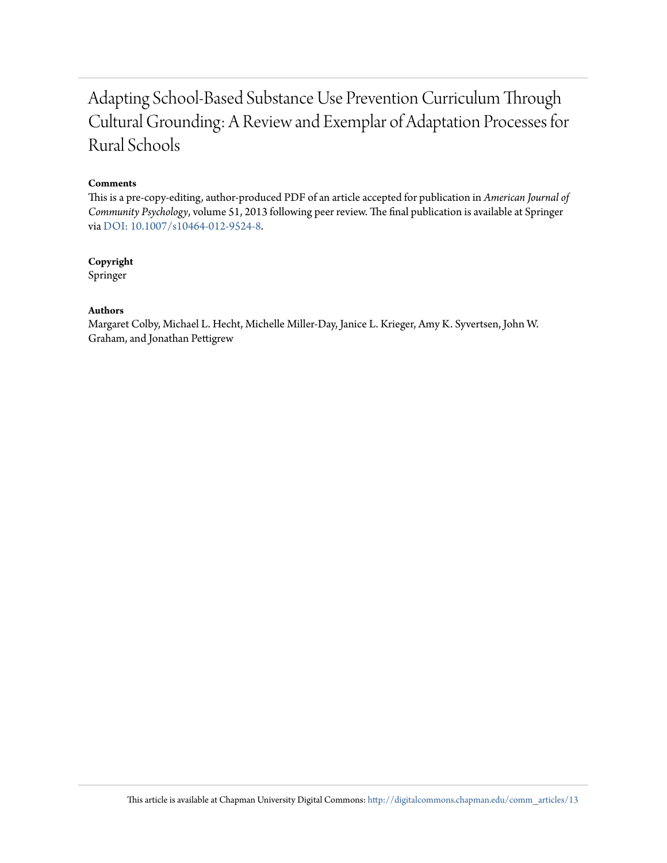# Adapting School-Based Substance Use Prevention Curriculum Through Cultural Grounding: A Review and Exemplar of Adaptation Processes for Rural Schools

## **Comments**

This is a pre-copy-editing, author-produced PDF of an article accepted for publication in *American Journal of Community Psychology*, volume 51, 2013 following peer review. The final publication is available at Springer via [DOI: 10.1007/s10464-012-9524-8.](http://dx.doi.org/10.1007/s10464-012-9524-8)

# **Copyright**

Springer

## **Authors**

Margaret Colby, Michael L. Hecht, Michelle Miller-Day, Janice L. Krieger, Amy K. Syvertsen, John W. Graham, and Jonathan Pettigrew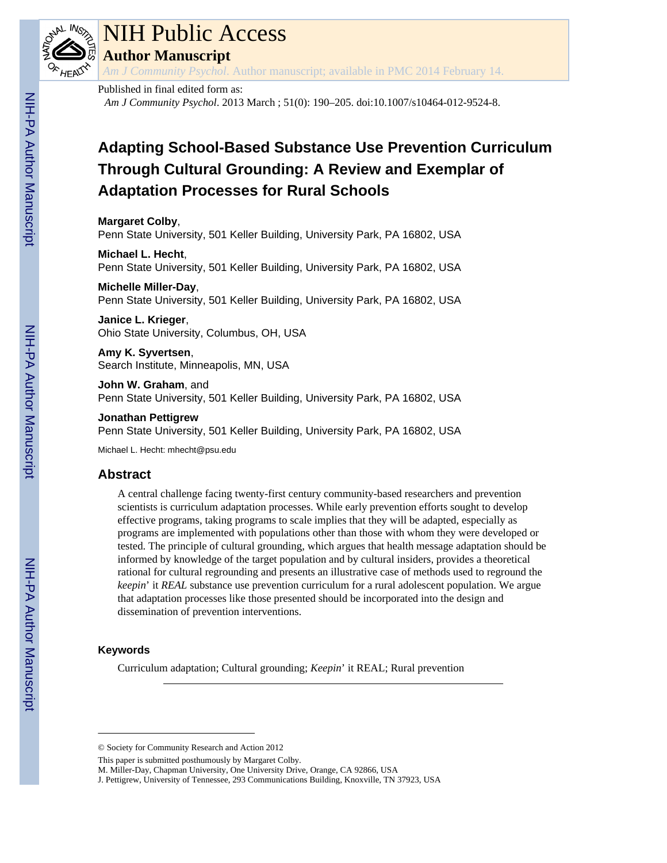

# NIH Public Access

**Author Manuscript**

*Am J Community Psychol*. Author manuscript; available in PMC 2014 February 14.

Published in final edited form as:

*Am J Community Psychol*. 2013 March ; 51(0): 190–205. doi:10.1007/s10464-012-9524-8.

# **Adapting School-Based Substance Use Prevention Curriculum Through Cultural Grounding: A Review and Exemplar of Adaptation Processes for Rural Schools**

**Margaret Colby**, Penn State University, 501 Keller Building, University Park, PA 16802, USA

**Michael L. Hecht**, Penn State University, 501 Keller Building, University Park, PA 16802, USA

**Michelle Miller-Day**, Penn State University, 501 Keller Building, University Park, PA 16802, USA

**Janice L. Krieger**, Ohio State University, Columbus, OH, USA

**Amy K. Syvertsen**, Search Institute, Minneapolis, MN, USA

**John W. Graham**, and Penn State University, 501 Keller Building, University Park, PA 16802, USA

### **Jonathan Pettigrew**

Penn State University, 501 Keller Building, University Park, PA 16802, USA

Michael L. Hecht: mhecht@psu.edu

# **Abstract**

A central challenge facing twenty-first century community-based researchers and prevention scientists is curriculum adaptation processes. While early prevention efforts sought to develop effective programs, taking programs to scale implies that they will be adapted, especially as programs are implemented with populations other than those with whom they were developed or tested. The principle of cultural grounding, which argues that health message adaptation should be informed by knowledge of the target population and by cultural insiders, provides a theoretical rational for cultural regrounding and presents an illustrative case of methods used to reground the *keepin*' it *REAL* substance use prevention curriculum for a rural adolescent population. We argue that adaptation processes like those presented should be incorporated into the design and dissemination of prevention interventions.

### **Keywords**

Curriculum adaptation; Cultural grounding; *Keepin*' it REAL; Rural prevention

<sup>©</sup> Society for Community Research and Action 2012

This paper is submitted posthumously by Margaret Colby.

M. Miller-Day, Chapman University, One University Drive, Orange, CA 92866, USA

J. Pettigrew, University of Tennessee, 293 Communications Building, Knoxville, TN 37923, USA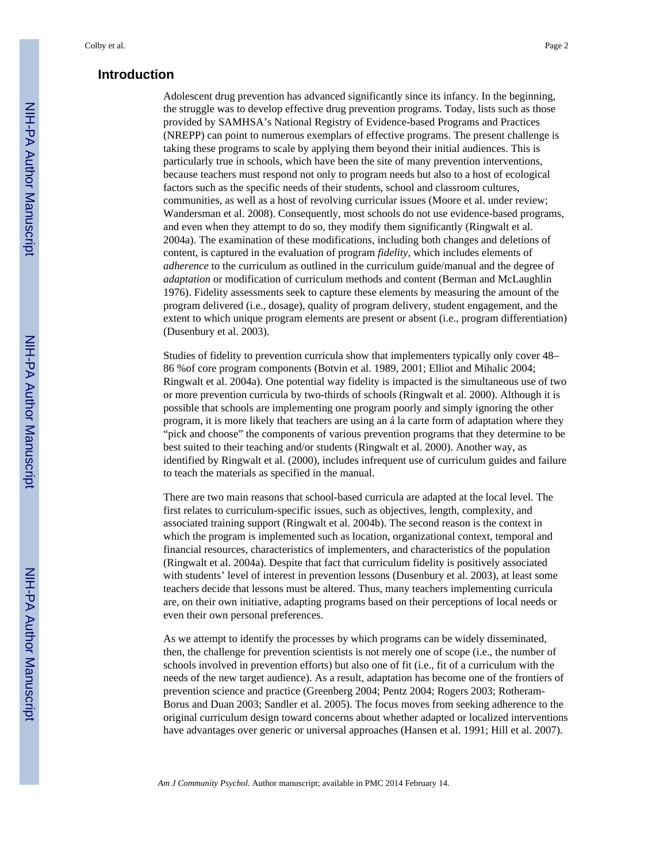## **Introduction**

Adolescent drug prevention has advanced significantly since its infancy. In the beginning, the struggle was to develop effective drug prevention programs. Today, lists such as those provided by SAMHSA's National Registry of Evidence-based Programs and Practices (NREPP) can point to numerous exemplars of effective programs. The present challenge is taking these programs to scale by applying them beyond their initial audiences. This is particularly true in schools, which have been the site of many prevention interventions, because teachers must respond not only to program needs but also to a host of ecological factors such as the specific needs of their students, school and classroom cultures, communities, as well as a host of revolving curricular issues (Moore et al. under review; Wandersman et al. 2008). Consequently, most schools do not use evidence-based programs, and even when they attempt to do so, they modify them significantly (Ringwalt et al. 2004a). The examination of these modifications, including both changes and deletions of content, is captured in the evaluation of program *fidelity*, which includes elements of *adherence* to the curriculum as outlined in the curriculum guide/manual and the degree of *adaptation* or modification of curriculum methods and content (Berman and McLaughlin 1976). Fidelity assessments seek to capture these elements by measuring the amount of the program delivered (i.e., dosage), quality of program delivery, student engagement, and the extent to which unique program elements are present or absent (i.e., program differentiation) (Dusenbury et al. 2003).

Studies of fidelity to prevention curricula show that implementers typically only cover 48– 86 %of core program components (Botvin et al. 1989, 2001; Elliot and Mihalic 2004; Ringwalt et al. 2004a). One potential way fidelity is impacted is the simultaneous use of two or more prevention curricula by two-thirds of schools (Ringwalt et al. 2000). Although it is possible that schools are implementing one program poorly and simply ignoring the other program, it is more likely that teachers are using an á la carte form of adaptation where they "pick and choose" the components of various prevention programs that they determine to be best suited to their teaching and/or students (Ringwalt et al. 2000). Another way, as identified by Ringwalt et al. (2000), includes infrequent use of curriculum guides and failure to teach the materials as specified in the manual.

There are two main reasons that school-based curricula are adapted at the local level. The first relates to curriculum-specific issues, such as objectives, length, complexity, and associated training support (Ringwalt et al. 2004b). The second reason is the context in which the program is implemented such as location, organizational context, temporal and financial resources, characteristics of implementers, and characteristics of the population (Ringwalt et al. 2004a). Despite that fact that curriculum fidelity is positively associated with students' level of interest in prevention lessons (Dusenbury et al. 2003), at least some teachers decide that lessons must be altered. Thus, many teachers implementing curricula are, on their own initiative, adapting programs based on their perceptions of local needs or even their own personal preferences.

As we attempt to identify the processes by which programs can be widely disseminated, then, the challenge for prevention scientists is not merely one of scope (i.e., the number of schools involved in prevention efforts) but also one of fit (i.e., fit of a curriculum with the needs of the new target audience). As a result, adaptation has become one of the frontiers of prevention science and practice (Greenberg 2004; Pentz 2004; Rogers 2003; Rotheram-Borus and Duan 2003; Sandler et al. 2005). The focus moves from seeking adherence to the original curriculum design toward concerns about whether adapted or localized interventions have advantages over generic or universal approaches (Hansen et al. 1991; Hill et al. 2007).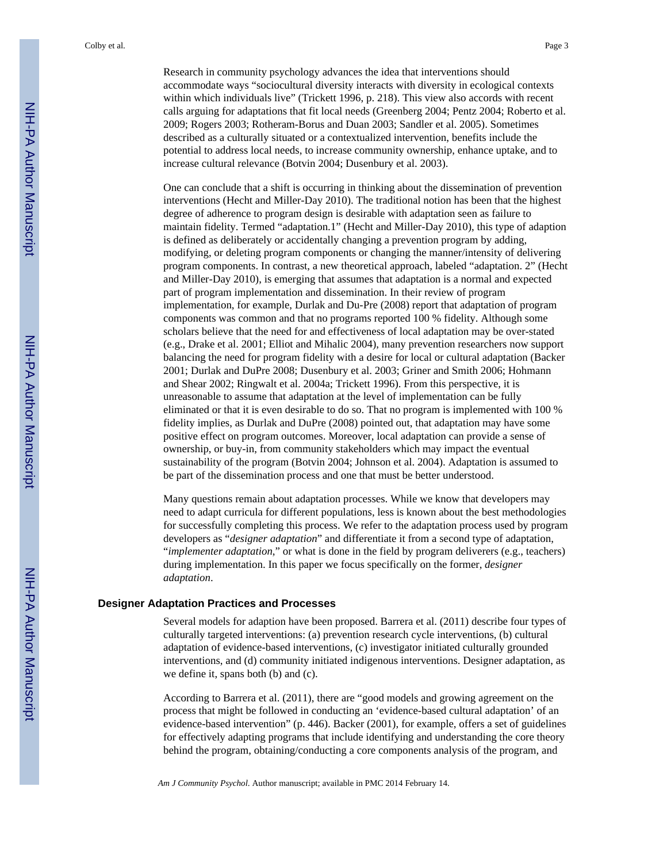accommodate ways "sociocultural diversity interacts with diversity in ecological contexts within which individuals live" (Trickett 1996, p. 218). This view also accords with recent calls arguing for adaptations that fit local needs (Greenberg 2004; Pentz 2004; Roberto et al. 2009; Rogers 2003; Rotheram-Borus and Duan 2003; Sandler et al. 2005). Sometimes described as a culturally situated or a contextualized intervention, benefits include the potential to address local needs, to increase community ownership, enhance uptake, and to increase cultural relevance (Botvin 2004; Dusenbury et al. 2003).

One can conclude that a shift is occurring in thinking about the dissemination of prevention interventions (Hecht and Miller-Day 2010). The traditional notion has been that the highest degree of adherence to program design is desirable with adaptation seen as failure to maintain fidelity. Termed "adaptation.1" (Hecht and Miller-Day 2010), this type of adaption is defined as deliberately or accidentally changing a prevention program by adding, modifying, or deleting program components or changing the manner/intensity of delivering program components. In contrast, a new theoretical approach, labeled "adaptation. 2" (Hecht and Miller-Day 2010), is emerging that assumes that adaptation is a normal and expected part of program implementation and dissemination. In their review of program implementation, for example, Durlak and Du-Pre (2008) report that adaptation of program components was common and that no programs reported 100 % fidelity. Although some scholars believe that the need for and effectiveness of local adaptation may be over-stated (e.g., Drake et al. 2001; Elliot and Mihalic 2004), many prevention researchers now support balancing the need for program fidelity with a desire for local or cultural adaptation (Backer 2001; Durlak and DuPre 2008; Dusenbury et al. 2003; Griner and Smith 2006; Hohmann and Shear 2002; Ringwalt et al. 2004a; Trickett 1996). From this perspective, it is unreasonable to assume that adaptation at the level of implementation can be fully eliminated or that it is even desirable to do so. That no program is implemented with 100 % fidelity implies, as Durlak and DuPre (2008) pointed out, that adaptation may have some positive effect on program outcomes. Moreover, local adaptation can provide a sense of ownership, or buy-in, from community stakeholders which may impact the eventual sustainability of the program (Botvin 2004; Johnson et al. 2004). Adaptation is assumed to be part of the dissemination process and one that must be better understood.

Many questions remain about adaptation processes. While we know that developers may need to adapt curricula for different populations, less is known about the best methodologies for successfully completing this process. We refer to the adaptation process used by program developers as "*designer adaptation*" and differentiate it from a second type of adaptation, "*implementer adaptation*," or what is done in the field by program deliverers (e.g., teachers) during implementation. In this paper we focus specifically on the former, *designer adaptation*.

#### **Designer Adaptation Practices and Processes**

Several models for adaption have been proposed. Barrera et al. (2011) describe four types of culturally targeted interventions: (a) prevention research cycle interventions, (b) cultural adaptation of evidence-based interventions, (c) investigator initiated culturally grounded interventions, and (d) community initiated indigenous interventions. Designer adaptation, as we define it, spans both (b) and (c).

According to Barrera et al. (2011), there are "good models and growing agreement on the process that might be followed in conducting an 'evidence-based cultural adaptation' of an evidence-based intervention" (p. 446). Backer (2001), for example, offers a set of guidelines for effectively adapting programs that include identifying and understanding the core theory behind the program, obtaining/conducting a core components analysis of the program, and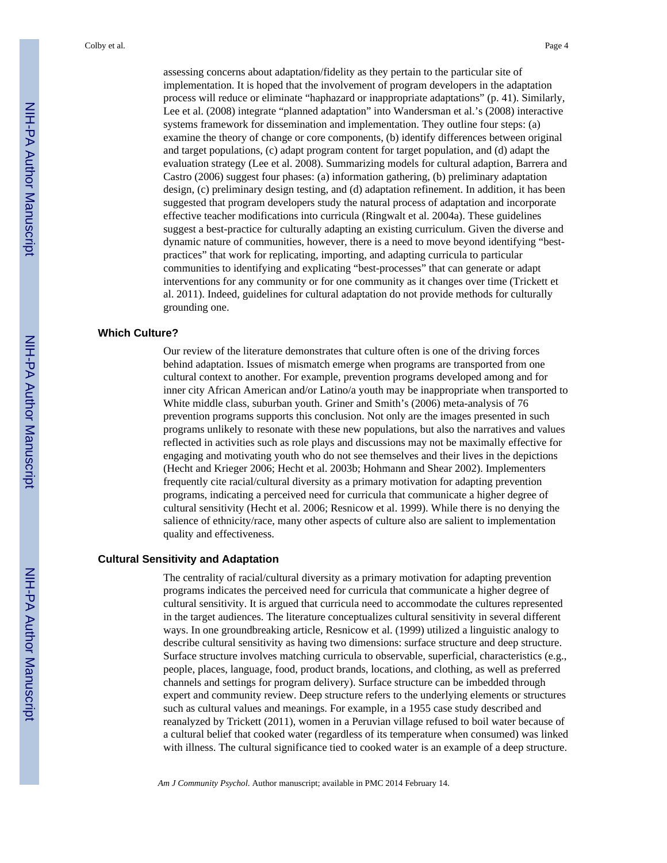assessing concerns about adaptation/fidelity as they pertain to the particular site of implementation. It is hoped that the involvement of program developers in the adaptation process will reduce or eliminate "haphazard or inappropriate adaptations" (p. 41). Similarly, Lee et al. (2008) integrate "planned adaptation" into Wandersman et al.'s (2008) interactive systems framework for dissemination and implementation. They outline four steps: (a) examine the theory of change or core components, (b) identify differences between original and target populations, (c) adapt program content for target population, and (d) adapt the evaluation strategy (Lee et al. 2008). Summarizing models for cultural adaption, Barrera and Castro (2006) suggest four phases: (a) information gathering, (b) preliminary adaptation design, (c) preliminary design testing, and (d) adaptation refinement. In addition, it has been suggested that program developers study the natural process of adaptation and incorporate effective teacher modifications into curricula (Ringwalt et al. 2004a). These guidelines suggest a best-practice for culturally adapting an existing curriculum. Given the diverse and dynamic nature of communities, however, there is a need to move beyond identifying "bestpractices" that work for replicating, importing, and adapting curricula to particular communities to identifying and explicating "best-processes" that can generate or adapt interventions for any community or for one community as it changes over time (Trickett et al. 2011). Indeed, guidelines for cultural adaptation do not provide methods for culturally grounding one.

#### **Which Culture?**

Our review of the literature demonstrates that culture often is one of the driving forces behind adaptation. Issues of mismatch emerge when programs are transported from one cultural context to another. For example, prevention programs developed among and for inner city African American and/or Latino/a youth may be inappropriate when transported to White middle class, suburban youth. Griner and Smith's (2006) meta-analysis of 76 prevention programs supports this conclusion. Not only are the images presented in such programs unlikely to resonate with these new populations, but also the narratives and values reflected in activities such as role plays and discussions may not be maximally effective for engaging and motivating youth who do not see themselves and their lives in the depictions (Hecht and Krieger 2006; Hecht et al. 2003b; Hohmann and Shear 2002). Implementers frequently cite racial/cultural diversity as a primary motivation for adapting prevention programs, indicating a perceived need for curricula that communicate a higher degree of cultural sensitivity (Hecht et al. 2006; Resnicow et al. 1999). While there is no denying the salience of ethnicity/race, many other aspects of culture also are salient to implementation quality and effectiveness.

#### **Cultural Sensitivity and Adaptation**

The centrality of racial/cultural diversity as a primary motivation for adapting prevention programs indicates the perceived need for curricula that communicate a higher degree of cultural sensitivity. It is argued that curricula need to accommodate the cultures represented in the target audiences. The literature conceptualizes cultural sensitivity in several different ways. In one groundbreaking article, Resnicow et al. (1999) utilized a linguistic analogy to describe cultural sensitivity as having two dimensions: surface structure and deep structure. Surface structure involves matching curricula to observable, superficial, characteristics (e.g., people, places, language, food, product brands, locations, and clothing, as well as preferred channels and settings for program delivery). Surface structure can be imbedded through expert and community review. Deep structure refers to the underlying elements or structures such as cultural values and meanings. For example, in a 1955 case study described and reanalyzed by Trickett (2011), women in a Peruvian village refused to boil water because of a cultural belief that cooked water (regardless of its temperature when consumed) was linked with illness. The cultural significance tied to cooked water is an example of a deep structure.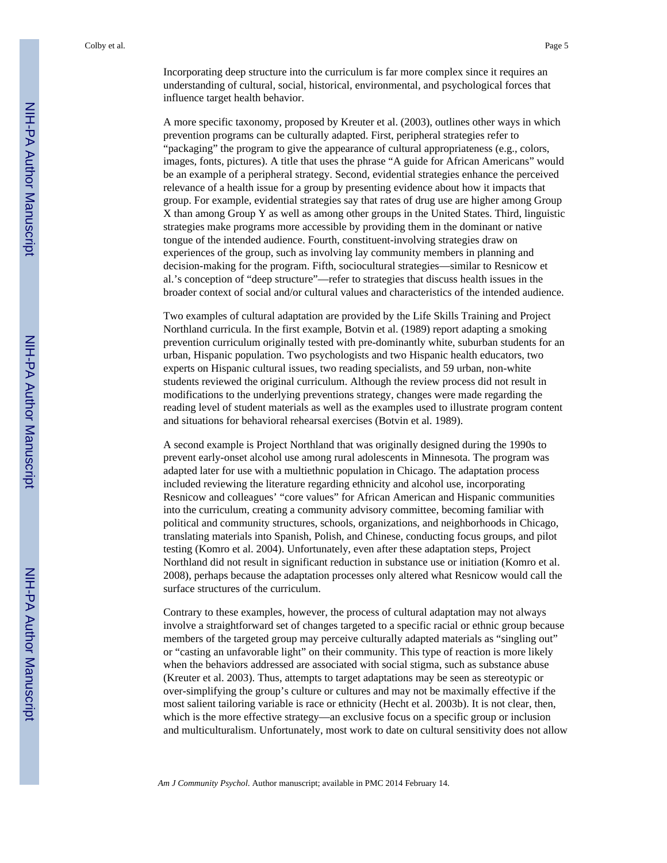Incorporating deep structure into the curriculum is far more complex since it requires an understanding of cultural, social, historical, environmental, and psychological forces that influence target health behavior.

A more specific taxonomy, proposed by Kreuter et al. (2003), outlines other ways in which prevention programs can be culturally adapted. First, peripheral strategies refer to "packaging" the program to give the appearance of cultural appropriateness (e.g., colors, images, fonts, pictures). A title that uses the phrase "A guide for African Americans" would be an example of a peripheral strategy. Second, evidential strategies enhance the perceived relevance of a health issue for a group by presenting evidence about how it impacts that group. For example, evidential strategies say that rates of drug use are higher among Group X than among Group Y as well as among other groups in the United States. Third, linguistic strategies make programs more accessible by providing them in the dominant or native tongue of the intended audience. Fourth, constituent-involving strategies draw on experiences of the group, such as involving lay community members in planning and decision-making for the program. Fifth, sociocultural strategies—similar to Resnicow et al.'s conception of "deep structure"—refer to strategies that discuss health issues in the broader context of social and/or cultural values and characteristics of the intended audience.

Two examples of cultural adaptation are provided by the Life Skills Training and Project Northland curricula. In the first example, Botvin et al. (1989) report adapting a smoking prevention curriculum originally tested with pre-dominantly white, suburban students for an urban, Hispanic population. Two psychologists and two Hispanic health educators, two experts on Hispanic cultural issues, two reading specialists, and 59 urban, non-white students reviewed the original curriculum. Although the review process did not result in modifications to the underlying preventions strategy, changes were made regarding the reading level of student materials as well as the examples used to illustrate program content and situations for behavioral rehearsal exercises (Botvin et al. 1989).

A second example is Project Northland that was originally designed during the 1990s to prevent early-onset alcohol use among rural adolescents in Minnesota. The program was adapted later for use with a multiethnic population in Chicago. The adaptation process included reviewing the literature regarding ethnicity and alcohol use, incorporating Resnicow and colleagues' "core values" for African American and Hispanic communities into the curriculum, creating a community advisory committee, becoming familiar with political and community structures, schools, organizations, and neighborhoods in Chicago, translating materials into Spanish, Polish, and Chinese, conducting focus groups, and pilot testing (Komro et al. 2004). Unfortunately, even after these adaptation steps, Project Northland did not result in significant reduction in substance use or initiation (Komro et al. 2008), perhaps because the adaptation processes only altered what Resnicow would call the surface structures of the curriculum.

Contrary to these examples, however, the process of cultural adaptation may not always involve a straightforward set of changes targeted to a specific racial or ethnic group because members of the targeted group may perceive culturally adapted materials as "singling out" or "casting an unfavorable light" on their community. This type of reaction is more likely when the behaviors addressed are associated with social stigma, such as substance abuse (Kreuter et al. 2003). Thus, attempts to target adaptations may be seen as stereotypic or over-simplifying the group's culture or cultures and may not be maximally effective if the most salient tailoring variable is race or ethnicity (Hecht et al. 2003b). It is not clear, then, which is the more effective strategy—an exclusive focus on a specific group or inclusion and multiculturalism. Unfortunately, most work to date on cultural sensitivity does not allow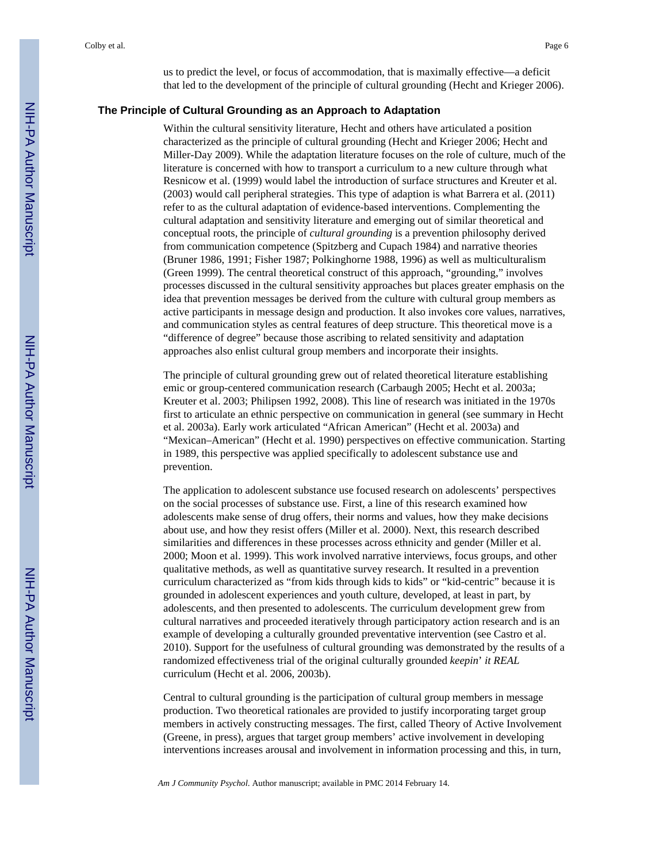us to predict the level, or focus of accommodation, that is maximally effective—a deficit that led to the development of the principle of cultural grounding (Hecht and Krieger 2006).

#### **The Principle of Cultural Grounding as an Approach to Adaptation**

Within the cultural sensitivity literature, Hecht and others have articulated a position characterized as the principle of cultural grounding (Hecht and Krieger 2006; Hecht and Miller-Day 2009). While the adaptation literature focuses on the role of culture, much of the literature is concerned with how to transport a curriculum to a new culture through what Resnicow et al. (1999) would label the introduction of surface structures and Kreuter et al. (2003) would call peripheral strategies. This type of adaption is what Barrera et al. (2011) refer to as the cultural adaptation of evidence-based interventions. Complementing the cultural adaptation and sensitivity literature and emerging out of similar theoretical and conceptual roots, the principle of *cultural grounding* is a prevention philosophy derived from communication competence (Spitzberg and Cupach 1984) and narrative theories (Bruner 1986, 1991; Fisher 1987; Polkinghorne 1988, 1996) as well as multiculturalism (Green 1999). The central theoretical construct of this approach, "grounding," involves processes discussed in the cultural sensitivity approaches but places greater emphasis on the idea that prevention messages be derived from the culture with cultural group members as active participants in message design and production. It also invokes core values, narratives, and communication styles as central features of deep structure. This theoretical move is a "difference of degree" because those ascribing to related sensitivity and adaptation approaches also enlist cultural group members and incorporate their insights.

The principle of cultural grounding grew out of related theoretical literature establishing emic or group-centered communication research (Carbaugh 2005; Hecht et al. 2003a; Kreuter et al. 2003; Philipsen 1992, 2008). This line of research was initiated in the 1970s first to articulate an ethnic perspective on communication in general (see summary in Hecht et al. 2003a). Early work articulated "African American" (Hecht et al. 2003a) and "Mexican–American" (Hecht et al. 1990) perspectives on effective communication. Starting in 1989, this perspective was applied specifically to adolescent substance use and prevention.

The application to adolescent substance use focused research on adolescents' perspectives on the social processes of substance use. First, a line of this research examined how adolescents make sense of drug offers, their norms and values, how they make decisions about use, and how they resist offers (Miller et al. 2000). Next, this research described similarities and differences in these processes across ethnicity and gender (Miller et al. 2000; Moon et al. 1999). This work involved narrative interviews, focus groups, and other qualitative methods, as well as quantitative survey research. It resulted in a prevention curriculum characterized as "from kids through kids to kids" or "kid-centric" because it is grounded in adolescent experiences and youth culture, developed, at least in part, by adolescents, and then presented to adolescents. The curriculum development grew from cultural narratives and proceeded iteratively through participatory action research and is an example of developing a culturally grounded preventative intervention (see Castro et al. 2010). Support for the usefulness of cultural grounding was demonstrated by the results of a randomized effectiveness trial of the original culturally grounded *keepin*' *it REAL* curriculum (Hecht et al. 2006, 2003b).

Central to cultural grounding is the participation of cultural group members in message production. Two theoretical rationales are provided to justify incorporating target group members in actively constructing messages. The first, called Theory of Active Involvement (Greene, in press), argues that target group members' active involvement in developing interventions increases arousal and involvement in information processing and this, in turn,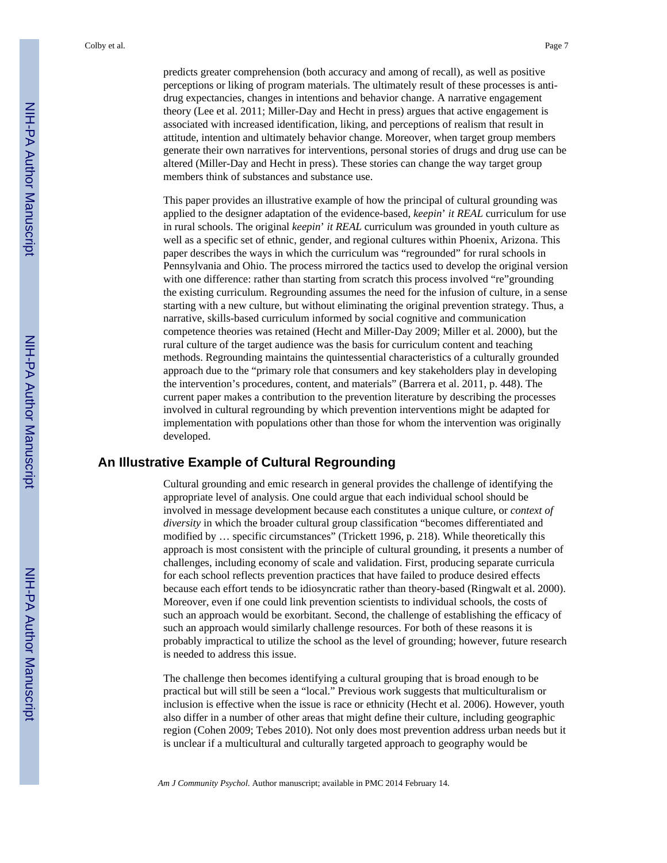predicts greater comprehension (both accuracy and among of recall), as well as positive perceptions or liking of program materials. The ultimately result of these processes is antidrug expectancies, changes in intentions and behavior change. A narrative engagement theory (Lee et al. 2011; Miller-Day and Hecht in press) argues that active engagement is associated with increased identification, liking, and perceptions of realism that result in attitude, intention and ultimately behavior change. Moreover, when target group members generate their own narratives for interventions, personal stories of drugs and drug use can be altered (Miller-Day and Hecht in press). These stories can change the way target group members think of substances and substance use.

This paper provides an illustrative example of how the principal of cultural grounding was applied to the designer adaptation of the evidence-based, *keepin*' *it REAL* curriculum for use in rural schools. The original *keepin*' *it REAL* curriculum was grounded in youth culture as well as a specific set of ethnic, gender, and regional cultures within Phoenix, Arizona. This paper describes the ways in which the curriculum was "regrounded" for rural schools in Pennsylvania and Ohio. The process mirrored the tactics used to develop the original version with one difference: rather than starting from scratch this process involved "re"grounding the existing curriculum. Regrounding assumes the need for the infusion of culture, in a sense starting with a new culture, but without eliminating the original prevention strategy. Thus, a narrative, skills-based curriculum informed by social cognitive and communication competence theories was retained (Hecht and Miller-Day 2009; Miller et al. 2000), but the rural culture of the target audience was the basis for curriculum content and teaching methods. Regrounding maintains the quintessential characteristics of a culturally grounded approach due to the "primary role that consumers and key stakeholders play in developing the intervention's procedures, content, and materials" (Barrera et al. 2011, p. 448). The current paper makes a contribution to the prevention literature by describing the processes involved in cultural regrounding by which prevention interventions might be adapted for implementation with populations other than those for whom the intervention was originally developed.

# **An Illustrative Example of Cultural Regrounding**

Cultural grounding and emic research in general provides the challenge of identifying the appropriate level of analysis. One could argue that each individual school should be involved in message development because each constitutes a unique culture, or *context of diversity* in which the broader cultural group classification "becomes differentiated and modified by … specific circumstances" (Trickett 1996, p. 218). While theoretically this approach is most consistent with the principle of cultural grounding, it presents a number of challenges, including economy of scale and validation. First, producing separate curricula for each school reflects prevention practices that have failed to produce desired effects because each effort tends to be idiosyncratic rather than theory-based (Ringwalt et al. 2000). Moreover, even if one could link prevention scientists to individual schools, the costs of such an approach would be exorbitant. Second, the challenge of establishing the efficacy of such an approach would similarly challenge resources. For both of these reasons it is probably impractical to utilize the school as the level of grounding; however, future research is needed to address this issue.

The challenge then becomes identifying a cultural grouping that is broad enough to be practical but will still be seen a "local." Previous work suggests that multiculturalism or inclusion is effective when the issue is race or ethnicity (Hecht et al. 2006). However, youth also differ in a number of other areas that might define their culture, including geographic region (Cohen 2009; Tebes 2010). Not only does most prevention address urban needs but it is unclear if a multicultural and culturally targeted approach to geography would be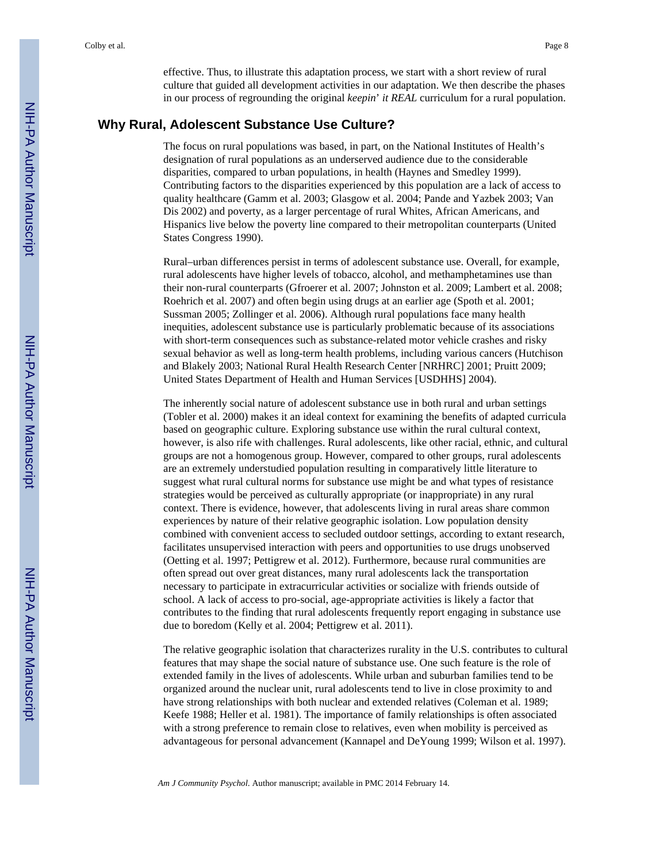effective. Thus, to illustrate this adaptation process, we start with a short review of rural culture that guided all development activities in our adaptation. We then describe the phases in our process of regrounding the original *keepin*' *it REAL* curriculum for a rural population.

# **Why Rural, Adolescent Substance Use Culture?**

The focus on rural populations was based, in part, on the National Institutes of Health's designation of rural populations as an underserved audience due to the considerable disparities, compared to urban populations, in health (Haynes and Smedley 1999). Contributing factors to the disparities experienced by this population are a lack of access to quality healthcare (Gamm et al. 2003; Glasgow et al. 2004; Pande and Yazbek 2003; Van Dis 2002) and poverty, as a larger percentage of rural Whites, African Americans, and Hispanics live below the poverty line compared to their metropolitan counterparts (United States Congress 1990).

Rural–urban differences persist in terms of adolescent substance use. Overall, for example, rural adolescents have higher levels of tobacco, alcohol, and methamphetamines use than their non-rural counterparts (Gfroerer et al. 2007; Johnston et al. 2009; Lambert et al. 2008; Roehrich et al. 2007) and often begin using drugs at an earlier age (Spoth et al. 2001; Sussman 2005; Zollinger et al. 2006). Although rural populations face many health inequities, adolescent substance use is particularly problematic because of its associations with short-term consequences such as substance-related motor vehicle crashes and risky sexual behavior as well as long-term health problems, including various cancers (Hutchison and Blakely 2003; National Rural Health Research Center [NRHRC] 2001; Pruitt 2009; United States Department of Health and Human Services [USDHHS] 2004).

The inherently social nature of adolescent substance use in both rural and urban settings (Tobler et al. 2000) makes it an ideal context for examining the benefits of adapted curricula based on geographic culture. Exploring substance use within the rural cultural context, however, is also rife with challenges. Rural adolescents, like other racial, ethnic, and cultural groups are not a homogenous group. However, compared to other groups, rural adolescents are an extremely understudied population resulting in comparatively little literature to suggest what rural cultural norms for substance use might be and what types of resistance strategies would be perceived as culturally appropriate (or inappropriate) in any rural context. There is evidence, however, that adolescents living in rural areas share common experiences by nature of their relative geographic isolation. Low population density combined with convenient access to secluded outdoor settings, according to extant research, facilitates unsupervised interaction with peers and opportunities to use drugs unobserved (Oetting et al. 1997; Pettigrew et al. 2012). Furthermore, because rural communities are often spread out over great distances, many rural adolescents lack the transportation necessary to participate in extracurricular activities or socialize with friends outside of school. A lack of access to pro-social, age-appropriate activities is likely a factor that contributes to the finding that rural adolescents frequently report engaging in substance use due to boredom (Kelly et al. 2004; Pettigrew et al. 2011).

The relative geographic isolation that characterizes rurality in the U.S. contributes to cultural features that may shape the social nature of substance use. One such feature is the role of extended family in the lives of adolescents. While urban and suburban families tend to be organized around the nuclear unit, rural adolescents tend to live in close proximity to and have strong relationships with both nuclear and extended relatives (Coleman et al. 1989; Keefe 1988; Heller et al. 1981). The importance of family relationships is often associated with a strong preference to remain close to relatives, even when mobility is perceived as advantageous for personal advancement (Kannapel and DeYoung 1999; Wilson et al. 1997).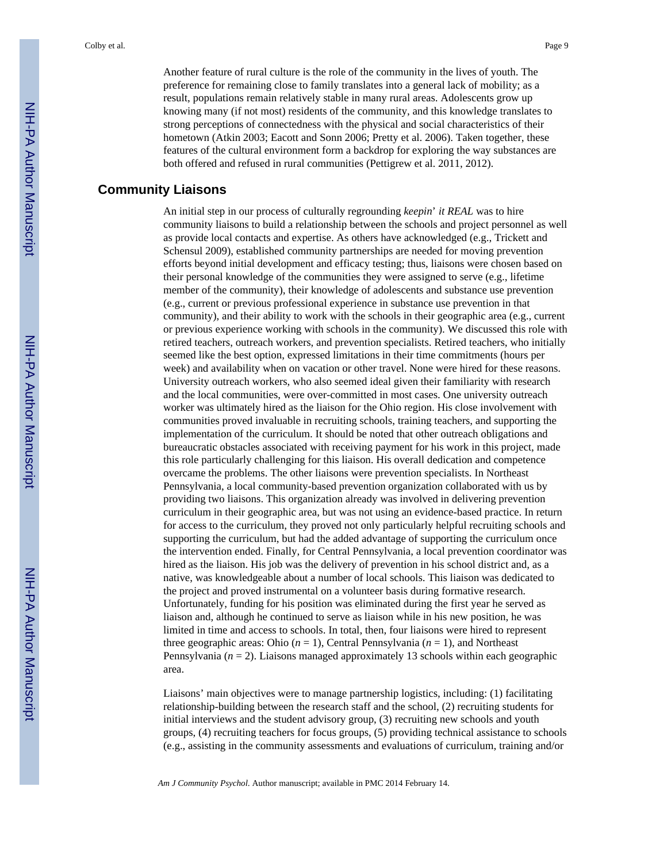Another feature of rural culture is the role of the community in the lives of youth. The preference for remaining close to family translates into a general lack of mobility; as a result, populations remain relatively stable in many rural areas. Adolescents grow up knowing many (if not most) residents of the community, and this knowledge translates to strong perceptions of connectedness with the physical and social characteristics of their hometown (Atkin 2003; Eacott and Sonn 2006; Pretty et al. 2006). Taken together, these features of the cultural environment form a backdrop for exploring the way substances are both offered and refused in rural communities (Pettigrew et al. 2011, 2012).

# **Community Liaisons**

An initial step in our process of culturally regrounding *keepin*' *it REAL* was to hire community liaisons to build a relationship between the schools and project personnel as well as provide local contacts and expertise. As others have acknowledged (e.g., Trickett and Schensul 2009), established community partnerships are needed for moving prevention efforts beyond initial development and efficacy testing; thus, liaisons were chosen based on their personal knowledge of the communities they were assigned to serve (e.g., lifetime member of the community), their knowledge of adolescents and substance use prevention (e.g., current or previous professional experience in substance use prevention in that community), and their ability to work with the schools in their geographic area (e.g., current or previous experience working with schools in the community). We discussed this role with retired teachers, outreach workers, and prevention specialists. Retired teachers, who initially seemed like the best option, expressed limitations in their time commitments (hours per week) and availability when on vacation or other travel. None were hired for these reasons. University outreach workers, who also seemed ideal given their familiarity with research and the local communities, were over-committed in most cases. One university outreach worker was ultimately hired as the liaison for the Ohio region. His close involvement with communities proved invaluable in recruiting schools, training teachers, and supporting the implementation of the curriculum. It should be noted that other outreach obligations and bureaucratic obstacles associated with receiving payment for his work in this project, made this role particularly challenging for this liaison. His overall dedication and competence overcame the problems. The other liaisons were prevention specialists. In Northeast Pennsylvania, a local community-based prevention organization collaborated with us by providing two liaisons. This organization already was involved in delivering prevention curriculum in their geographic area, but was not using an evidence-based practice. In return for access to the curriculum, they proved not only particularly helpful recruiting schools and supporting the curriculum, but had the added advantage of supporting the curriculum once the intervention ended. Finally, for Central Pennsylvania, a local prevention coordinator was hired as the liaison. His job was the delivery of prevention in his school district and, as a native, was knowledgeable about a number of local schools. This liaison was dedicated to the project and proved instrumental on a volunteer basis during formative research. Unfortunately, funding for his position was eliminated during the first year he served as liaison and, although he continued to serve as liaison while in his new position, he was limited in time and access to schools. In total, then, four liaisons were hired to represent three geographic areas: Ohio  $(n = 1)$ , Central Pennsylvania  $(n = 1)$ , and Northeast Pennsylvania (*n* = 2). Liaisons managed approximately 13 schools within each geographic area.

Liaisons' main objectives were to manage partnership logistics, including: (1) facilitating relationship-building between the research staff and the school, (2) recruiting students for initial interviews and the student advisory group, (3) recruiting new schools and youth groups, (4) recruiting teachers for focus groups, (5) providing technical assistance to schools (e.g., assisting in the community assessments and evaluations of curriculum, training and/or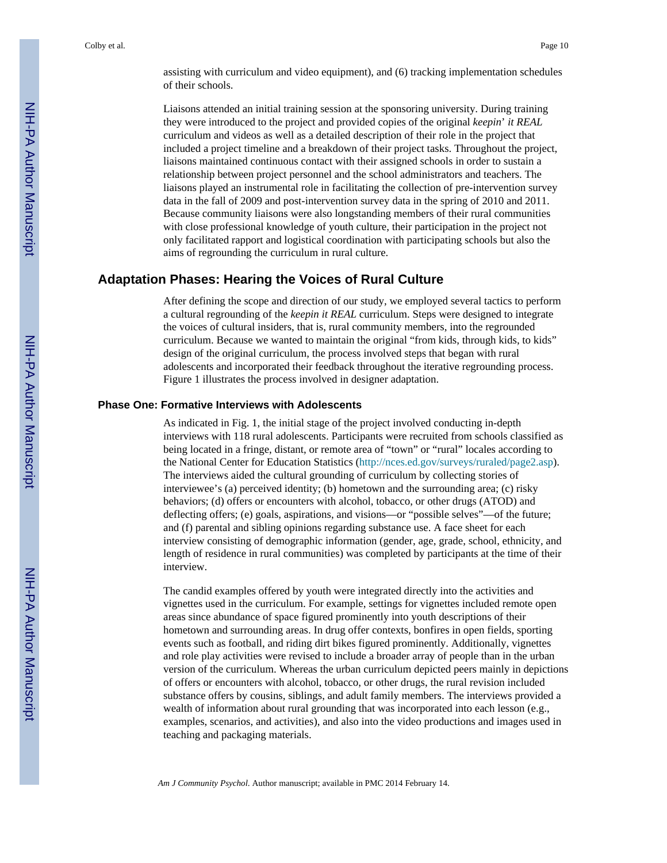assisting with curriculum and video equipment), and (6) tracking implementation schedules of their schools.

Liaisons attended an initial training session at the sponsoring university. During training they were introduced to the project and provided copies of the original *keepin*' *it REAL* curriculum and videos as well as a detailed description of their role in the project that included a project timeline and a breakdown of their project tasks. Throughout the project, liaisons maintained continuous contact with their assigned schools in order to sustain a relationship between project personnel and the school administrators and teachers. The liaisons played an instrumental role in facilitating the collection of pre-intervention survey data in the fall of 2009 and post-intervention survey data in the spring of 2010 and 2011. Because community liaisons were also longstanding members of their rural communities with close professional knowledge of youth culture, their participation in the project not only facilitated rapport and logistical coordination with participating schools but also the aims of regrounding the curriculum in rural culture.

### **Adaptation Phases: Hearing the Voices of Rural Culture**

After defining the scope and direction of our study, we employed several tactics to perform a cultural regrounding of the *keepin it REAL* curriculum. Steps were designed to integrate the voices of cultural insiders, that is, rural community members, into the regrounded curriculum. Because we wanted to maintain the original "from kids, through kids, to kids" design of the original curriculum, the process involved steps that began with rural adolescents and incorporated their feedback throughout the iterative regrounding process. Figure 1 illustrates the process involved in designer adaptation.

#### **Phase One: Formative Interviews with Adolescents**

As indicated in Fig. 1, the initial stage of the project involved conducting in-depth interviews with 118 rural adolescents. Participants were recruited from schools classified as being located in a fringe, distant, or remote area of "town" or "rural" locales according to the National Center for Education Statistics (<http://nces.ed.gov/surveys/ruraled/page2.asp>). The interviews aided the cultural grounding of curriculum by collecting stories of interviewee's (a) perceived identity; (b) hometown and the surrounding area; (c) risky behaviors; (d) offers or encounters with alcohol, tobacco, or other drugs (ATOD) and deflecting offers; (e) goals, aspirations, and visions—or "possible selves"—of the future; and (f) parental and sibling opinions regarding substance use. A face sheet for each interview consisting of demographic information (gender, age, grade, school, ethnicity, and length of residence in rural communities) was completed by participants at the time of their interview.

The candid examples offered by youth were integrated directly into the activities and vignettes used in the curriculum. For example, settings for vignettes included remote open areas since abundance of space figured prominently into youth descriptions of their hometown and surrounding areas. In drug offer contexts, bonfires in open fields, sporting events such as football, and riding dirt bikes figured prominently. Additionally, vignettes and role play activities were revised to include a broader array of people than in the urban version of the curriculum. Whereas the urban curriculum depicted peers mainly in depictions of offers or encounters with alcohol, tobacco, or other drugs, the rural revision included substance offers by cousins, siblings, and adult family members. The interviews provided a wealth of information about rural grounding that was incorporated into each lesson (e.g., examples, scenarios, and activities), and also into the video productions and images used in teaching and packaging materials.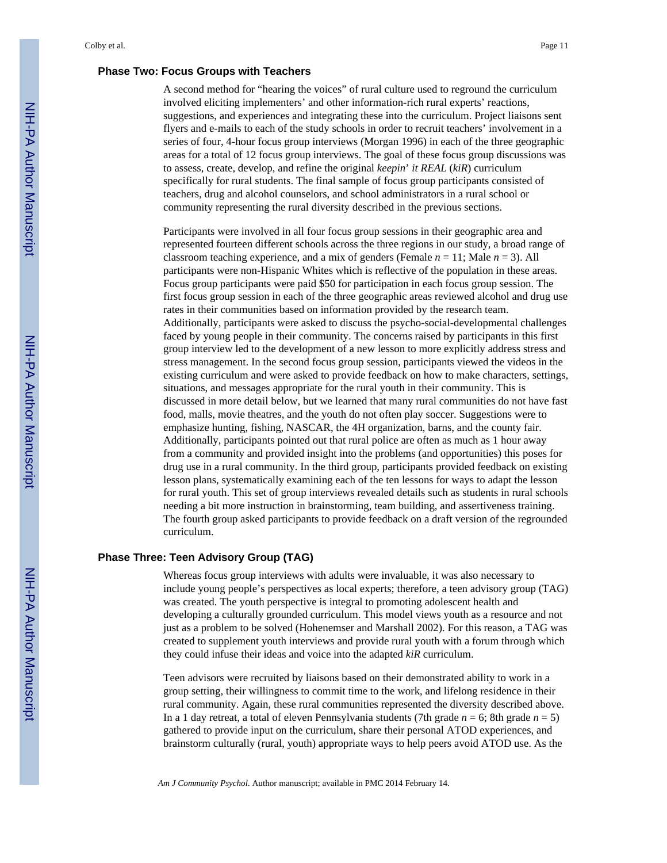#### **Phase Two: Focus Groups with Teachers**

A second method for "hearing the voices" of rural culture used to reground the curriculum involved eliciting implementers' and other information-rich rural experts' reactions, suggestions, and experiences and integrating these into the curriculum. Project liaisons sent flyers and e-mails to each of the study schools in order to recruit teachers' involvement in a series of four, 4-hour focus group interviews (Morgan 1996) in each of the three geographic areas for a total of 12 focus group interviews. The goal of these focus group discussions was to assess, create, develop, and refine the original *keepin*' *it REAL* (*kiR*) curriculum specifically for rural students. The final sample of focus group participants consisted of teachers, drug and alcohol counselors, and school administrators in a rural school or community representing the rural diversity described in the previous sections.

Participants were involved in all four focus group sessions in their geographic area and represented fourteen different schools across the three regions in our study, a broad range of classroom teaching experience, and a mix of genders (Female  $n = 11$ ; Male  $n = 3$ ). All participants were non-Hispanic Whites which is reflective of the population in these areas. Focus group participants were paid \$50 for participation in each focus group session. The first focus group session in each of the three geographic areas reviewed alcohol and drug use rates in their communities based on information provided by the research team. Additionally, participants were asked to discuss the psycho-social-developmental challenges faced by young people in their community. The concerns raised by participants in this first group interview led to the development of a new lesson to more explicitly address stress and stress management. In the second focus group session, participants viewed the videos in the existing curriculum and were asked to provide feedback on how to make characters, settings, situations, and messages appropriate for the rural youth in their community. This is discussed in more detail below, but we learned that many rural communities do not have fast food, malls, movie theatres, and the youth do not often play soccer. Suggestions were to emphasize hunting, fishing, NASCAR, the 4H organization, barns, and the county fair. Additionally, participants pointed out that rural police are often as much as 1 hour away from a community and provided insight into the problems (and opportunities) this poses for drug use in a rural community. In the third group, participants provided feedback on existing lesson plans, systematically examining each of the ten lessons for ways to adapt the lesson for rural youth. This set of group interviews revealed details such as students in rural schools needing a bit more instruction in brainstorming, team building, and assertiveness training. The fourth group asked participants to provide feedback on a draft version of the regrounded curriculum.

#### **Phase Three: Teen Advisory Group (TAG)**

Whereas focus group interviews with adults were invaluable, it was also necessary to include young people's perspectives as local experts; therefore, a teen advisory group (TAG) was created. The youth perspective is integral to promoting adolescent health and developing a culturally grounded curriculum. This model views youth as a resource and not just as a problem to be solved (Hohenemser and Marshall 2002). For this reason, a TAG was created to supplement youth interviews and provide rural youth with a forum through which they could infuse their ideas and voice into the adapted *kiR* curriculum.

Teen advisors were recruited by liaisons based on their demonstrated ability to work in a group setting, their willingness to commit time to the work, and lifelong residence in their rural community. Again, these rural communities represented the diversity described above. In a 1 day retreat, a total of eleven Pennsylvania students (7th grade  $n = 6$ ; 8th grade  $n = 5$ ) gathered to provide input on the curriculum, share their personal ATOD experiences, and brainstorm culturally (rural, youth) appropriate ways to help peers avoid ATOD use. As the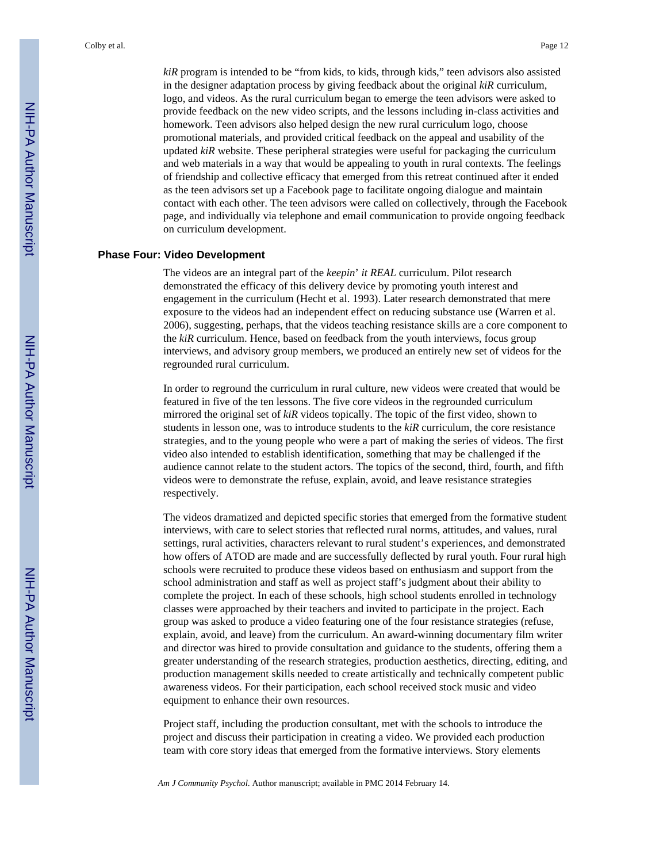*kiR* program is intended to be "from kids, to kids, through kids," teen advisors also assisted in the designer adaptation process by giving feedback about the original *kiR* curriculum, logo, and videos. As the rural curriculum began to emerge the teen advisors were asked to provide feedback on the new video scripts, and the lessons including in-class activities and homework. Teen advisors also helped design the new rural curriculum logo, choose promotional materials, and provided critical feedback on the appeal and usability of the updated *kiR* website. These peripheral strategies were useful for packaging the curriculum and web materials in a way that would be appealing to youth in rural contexts. The feelings of friendship and collective efficacy that emerged from this retreat continued after it ended as the teen advisors set up a Facebook page to facilitate ongoing dialogue and maintain contact with each other. The teen advisors were called on collectively, through the Facebook page, and individually via telephone and email communication to provide ongoing feedback on curriculum development.

#### **Phase Four: Video Development**

The videos are an integral part of the *keepin*' *it REAL* curriculum. Pilot research demonstrated the efficacy of this delivery device by promoting youth interest and engagement in the curriculum (Hecht et al. 1993). Later research demonstrated that mere exposure to the videos had an independent effect on reducing substance use (Warren et al. 2006), suggesting, perhaps, that the videos teaching resistance skills are a core component to the *kiR* curriculum. Hence, based on feedback from the youth interviews, focus group interviews, and advisory group members, we produced an entirely new set of videos for the regrounded rural curriculum.

In order to reground the curriculum in rural culture, new videos were created that would be featured in five of the ten lessons. The five core videos in the regrounded curriculum mirrored the original set of *kiR* videos topically. The topic of the first video, shown to students in lesson one, was to introduce students to the *kiR* curriculum, the core resistance strategies, and to the young people who were a part of making the series of videos. The first video also intended to establish identification, something that may be challenged if the audience cannot relate to the student actors. The topics of the second, third, fourth, and fifth videos were to demonstrate the refuse, explain, avoid, and leave resistance strategies respectively.

The videos dramatized and depicted specific stories that emerged from the formative student interviews, with care to select stories that reflected rural norms, attitudes, and values, rural settings, rural activities, characters relevant to rural student's experiences, and demonstrated how offers of ATOD are made and are successfully deflected by rural youth. Four rural high schools were recruited to produce these videos based on enthusiasm and support from the school administration and staff as well as project staff's judgment about their ability to complete the project. In each of these schools, high school students enrolled in technology classes were approached by their teachers and invited to participate in the project. Each group was asked to produce a video featuring one of the four resistance strategies (refuse, explain, avoid, and leave) from the curriculum. An award-winning documentary film writer and director was hired to provide consultation and guidance to the students, offering them a greater understanding of the research strategies, production aesthetics, directing, editing, and production management skills needed to create artistically and technically competent public awareness videos. For their participation, each school received stock music and video equipment to enhance their own resources.

Project staff, including the production consultant, met with the schools to introduce the project and discuss their participation in creating a video. We provided each production team with core story ideas that emerged from the formative interviews. Story elements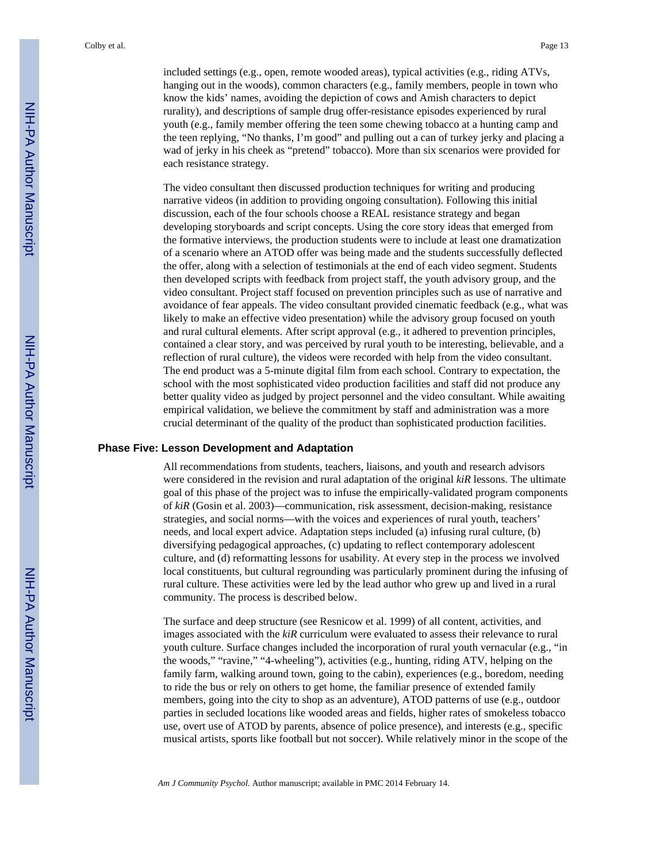included settings (e.g., open, remote wooded areas), typical activities (e.g., riding ATVs, hanging out in the woods), common characters (e.g., family members, people in town who know the kids' names, avoiding the depiction of cows and Amish characters to depict rurality), and descriptions of sample drug offer-resistance episodes experienced by rural youth (e.g., family member offering the teen some chewing tobacco at a hunting camp and the teen replying, "No thanks, I'm good" and pulling out a can of turkey jerky and placing a wad of jerky in his cheek as "pretend" tobacco). More than six scenarios were provided for each resistance strategy.

The video consultant then discussed production techniques for writing and producing narrative videos (in addition to providing ongoing consultation). Following this initial discussion, each of the four schools choose a REAL resistance strategy and began developing storyboards and script concepts. Using the core story ideas that emerged from the formative interviews, the production students were to include at least one dramatization of a scenario where an ATOD offer was being made and the students successfully deflected the offer, along with a selection of testimonials at the end of each video segment. Students then developed scripts with feedback from project staff, the youth advisory group, and the video consultant. Project staff focused on prevention principles such as use of narrative and avoidance of fear appeals. The video consultant provided cinematic feedback (e.g., what was likely to make an effective video presentation) while the advisory group focused on youth and rural cultural elements. After script approval (e.g., it adhered to prevention principles, contained a clear story, and was perceived by rural youth to be interesting, believable, and a reflection of rural culture), the videos were recorded with help from the video consultant. The end product was a 5-minute digital film from each school. Contrary to expectation, the school with the most sophisticated video production facilities and staff did not produce any better quality video as judged by project personnel and the video consultant. While awaiting empirical validation, we believe the commitment by staff and administration was a more crucial determinant of the quality of the product than sophisticated production facilities.

#### **Phase Five: Lesson Development and Adaptation**

All recommendations from students, teachers, liaisons, and youth and research advisors were considered in the revision and rural adaptation of the original *kiR* lessons. The ultimate goal of this phase of the project was to infuse the empirically-validated program components of *kiR* (Gosin et al. 2003)—communication, risk assessment, decision-making, resistance strategies, and social norms—with the voices and experiences of rural youth, teachers' needs, and local expert advice. Adaptation steps included (a) infusing rural culture, (b) diversifying pedagogical approaches, (c) updating to reflect contemporary adolescent culture, and (d) reformatting lessons for usability. At every step in the process we involved local constituents, but cultural regrounding was particularly prominent during the infusing of rural culture. These activities were led by the lead author who grew up and lived in a rural community. The process is described below.

The surface and deep structure (see Resnicow et al. 1999) of all content, activities, and images associated with the *kiR* curriculum were evaluated to assess their relevance to rural youth culture. Surface changes included the incorporation of rural youth vernacular (e.g., "in the woods," "ravine," "4-wheeling"), activities (e.g., hunting, riding ATV, helping on the family farm, walking around town, going to the cabin), experiences (e.g., boredom, needing to ride the bus or rely on others to get home, the familiar presence of extended family members, going into the city to shop as an adventure), ATOD patterns of use (e.g., outdoor parties in secluded locations like wooded areas and fields, higher rates of smokeless tobacco use, overt use of ATOD by parents, absence of police presence), and interests (e.g., specific musical artists, sports like football but not soccer). While relatively minor in the scope of the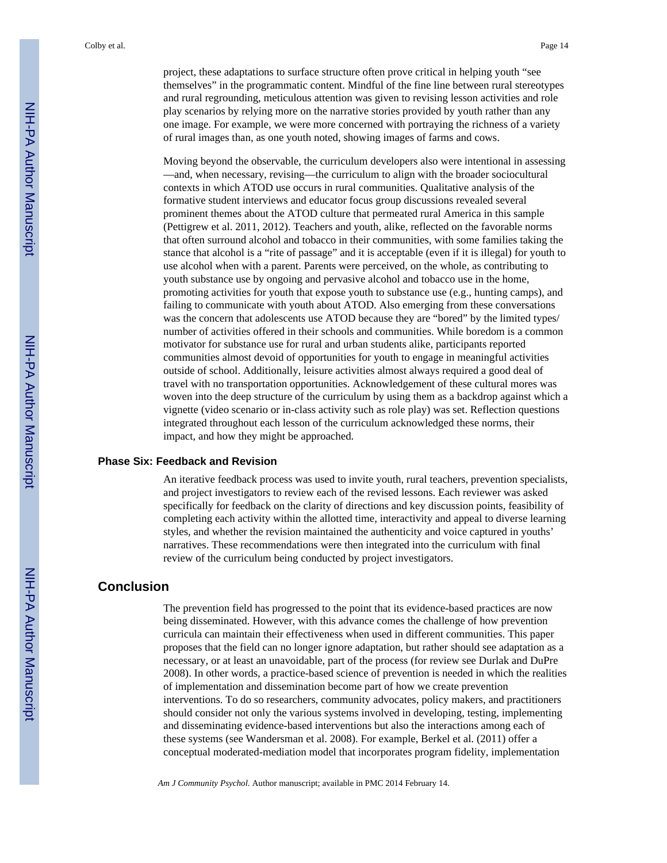project, these adaptations to surface structure often prove critical in helping youth "see themselves" in the programmatic content. Mindful of the fine line between rural stereotypes and rural regrounding, meticulous attention was given to revising lesson activities and role play scenarios by relying more on the narrative stories provided by youth rather than any one image. For example, we were more concerned with portraying the richness of a variety of rural images than, as one youth noted, showing images of farms and cows.

Moving beyond the observable, the curriculum developers also were intentional in assessing —and, when necessary, revising—the curriculum to align with the broader sociocultural contexts in which ATOD use occurs in rural communities. Qualitative analysis of the formative student interviews and educator focus group discussions revealed several prominent themes about the ATOD culture that permeated rural America in this sample (Pettigrew et al. 2011, 2012). Teachers and youth, alike, reflected on the favorable norms that often surround alcohol and tobacco in their communities, with some families taking the stance that alcohol is a "rite of passage" and it is acceptable (even if it is illegal) for youth to use alcohol when with a parent. Parents were perceived, on the whole, as contributing to youth substance use by ongoing and pervasive alcohol and tobacco use in the home, promoting activities for youth that expose youth to substance use (e.g., hunting camps), and failing to communicate with youth about ATOD. Also emerging from these conversations was the concern that adolescents use ATOD because they are "bored" by the limited types/ number of activities offered in their schools and communities. While boredom is a common motivator for substance use for rural and urban students alike, participants reported communities almost devoid of opportunities for youth to engage in meaningful activities outside of school. Additionally, leisure activities almost always required a good deal of travel with no transportation opportunities. Acknowledgement of these cultural mores was woven into the deep structure of the curriculum by using them as a backdrop against which a vignette (video scenario or in-class activity such as role play) was set. Reflection questions integrated throughout each lesson of the curriculum acknowledged these norms, their impact, and how they might be approached.

#### **Phase Six: Feedback and Revision**

An iterative feedback process was used to invite youth, rural teachers, prevention specialists, and project investigators to review each of the revised lessons. Each reviewer was asked specifically for feedback on the clarity of directions and key discussion points, feasibility of completing each activity within the allotted time, interactivity and appeal to diverse learning styles, and whether the revision maintained the authenticity and voice captured in youths' narratives. These recommendations were then integrated into the curriculum with final review of the curriculum being conducted by project investigators.

# **Conclusion**

The prevention field has progressed to the point that its evidence-based practices are now being disseminated. However, with this advance comes the challenge of how prevention curricula can maintain their effectiveness when used in different communities. This paper proposes that the field can no longer ignore adaptation, but rather should see adaptation as a necessary, or at least an unavoidable, part of the process (for review see Durlak and DuPre 2008). In other words, a practice-based science of prevention is needed in which the realities of implementation and dissemination become part of how we create prevention interventions. To do so researchers, community advocates, policy makers, and practitioners should consider not only the various systems involved in developing, testing, implementing and disseminating evidence-based interventions but also the interactions among each of these systems (see Wandersman et al. 2008). For example, Berkel et al. (2011) offer a conceptual moderated-mediation model that incorporates program fidelity, implementation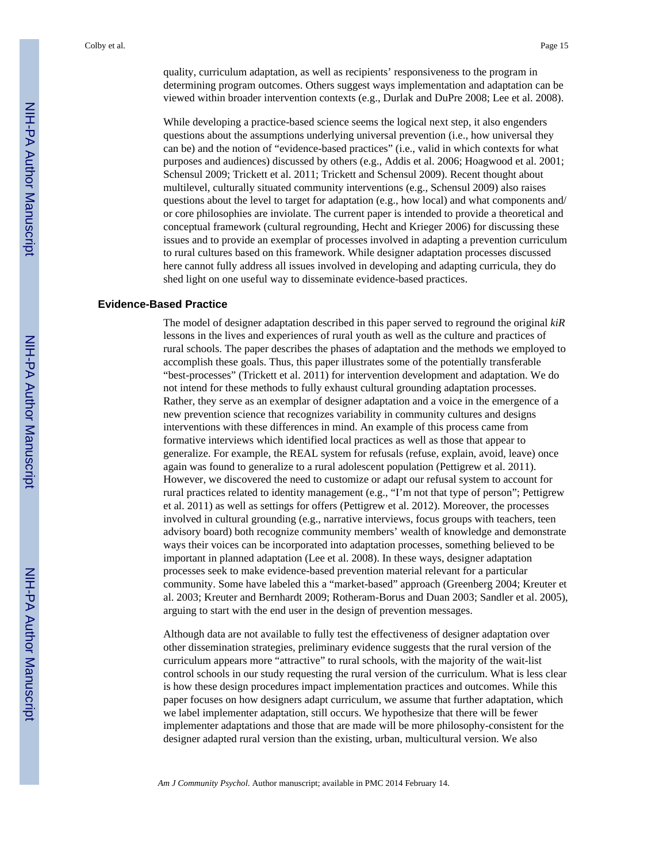quality, curriculum adaptation, as well as recipients' responsiveness to the program in determining program outcomes. Others suggest ways implementation and adaptation can be viewed within broader intervention contexts (e.g., Durlak and DuPre 2008; Lee et al. 2008).

While developing a practice-based science seems the logical next step, it also engenders questions about the assumptions underlying universal prevention (i.e., how universal they can be) and the notion of "evidence-based practices" (i.e., valid in which contexts for what purposes and audiences) discussed by others (e.g., Addis et al. 2006; Hoagwood et al. 2001; Schensul 2009; Trickett et al. 2011; Trickett and Schensul 2009). Recent thought about multilevel, culturally situated community interventions (e.g., Schensul 2009) also raises questions about the level to target for adaptation (e.g., how local) and what components and/ or core philosophies are inviolate. The current paper is intended to provide a theoretical and conceptual framework (cultural regrounding, Hecht and Krieger 2006) for discussing these issues and to provide an exemplar of processes involved in adapting a prevention curriculum to rural cultures based on this framework. While designer adaptation processes discussed here cannot fully address all issues involved in developing and adapting curricula, they do shed light on one useful way to disseminate evidence-based practices.

#### **Evidence-Based Practice**

The model of designer adaptation described in this paper served to reground the original *kiR* lessons in the lives and experiences of rural youth as well as the culture and practices of rural schools. The paper describes the phases of adaptation and the methods we employed to accomplish these goals. Thus, this paper illustrates some of the potentially transferable "best-processes" (Trickett et al. 2011) for intervention development and adaptation. We do not intend for these methods to fully exhaust cultural grounding adaptation processes. Rather, they serve as an exemplar of designer adaptation and a voice in the emergence of a new prevention science that recognizes variability in community cultures and designs interventions with these differences in mind. An example of this process came from formative interviews which identified local practices as well as those that appear to generalize. For example, the REAL system for refusals (refuse, explain, avoid, leave) once again was found to generalize to a rural adolescent population (Pettigrew et al. 2011). However, we discovered the need to customize or adapt our refusal system to account for rural practices related to identity management (e.g., "I'm not that type of person"; Pettigrew et al. 2011) as well as settings for offers (Pettigrew et al. 2012). Moreover, the processes involved in cultural grounding (e.g., narrative interviews, focus groups with teachers, teen advisory board) both recognize community members' wealth of knowledge and demonstrate ways their voices can be incorporated into adaptation processes, something believed to be important in planned adaptation (Lee et al. 2008). In these ways, designer adaptation processes seek to make evidence-based prevention material relevant for a particular community. Some have labeled this a "market-based" approach (Greenberg 2004; Kreuter et al. 2003; Kreuter and Bernhardt 2009; Rotheram-Borus and Duan 2003; Sandler et al. 2005), arguing to start with the end user in the design of prevention messages.

Although data are not available to fully test the effectiveness of designer adaptation over other dissemination strategies, preliminary evidence suggests that the rural version of the curriculum appears more "attractive" to rural schools, with the majority of the wait-list control schools in our study requesting the rural version of the curriculum. What is less clear is how these design procedures impact implementation practices and outcomes. While this paper focuses on how designers adapt curriculum, we assume that further adaptation, which we label implementer adaptation, still occurs. We hypothesize that there will be fewer implementer adaptations and those that are made will be more philosophy-consistent for the designer adapted rural version than the existing, urban, multicultural version. We also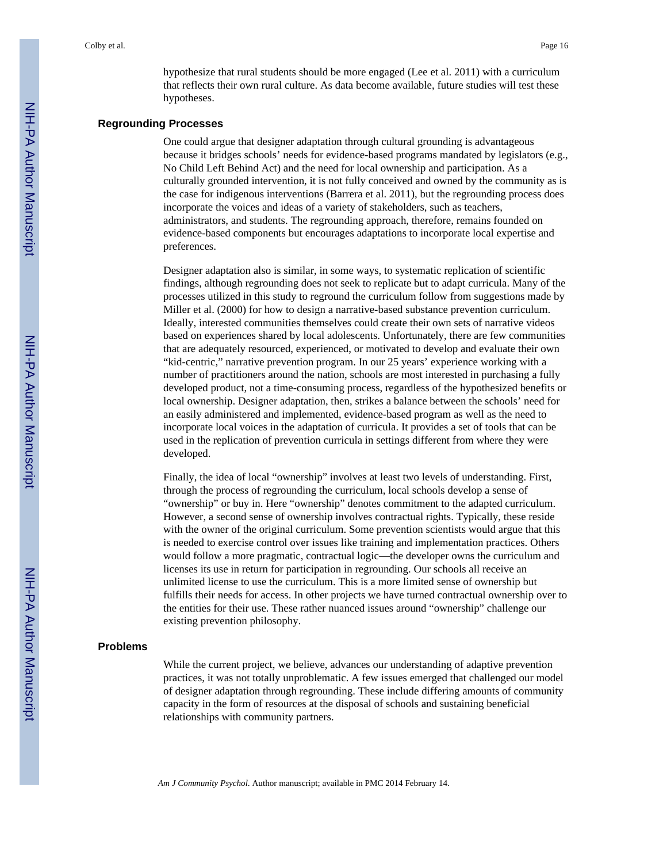hypothesize that rural students should be more engaged (Lee et al. 2011) with a curriculum that reflects their own rural culture. As data become available, future studies will test these hypotheses.

#### **Regrounding Processes**

One could argue that designer adaptation through cultural grounding is advantageous because it bridges schools' needs for evidence-based programs mandated by legislators (e.g., No Child Left Behind Act) and the need for local ownership and participation. As a culturally grounded intervention, it is not fully conceived and owned by the community as is the case for indigenous interventions (Barrera et al. 2011), but the regrounding process does incorporate the voices and ideas of a variety of stakeholders, such as teachers, administrators, and students. The regrounding approach, therefore, remains founded on evidence-based components but encourages adaptations to incorporate local expertise and preferences.

Designer adaptation also is similar, in some ways, to systematic replication of scientific findings, although regrounding does not seek to replicate but to adapt curricula. Many of the processes utilized in this study to reground the curriculum follow from suggestions made by Miller et al. (2000) for how to design a narrative-based substance prevention curriculum. Ideally, interested communities themselves could create their own sets of narrative videos based on experiences shared by local adolescents. Unfortunately, there are few communities that are adequately resourced, experienced, or motivated to develop and evaluate their own "kid-centric," narrative prevention program. In our 25 years' experience working with a number of practitioners around the nation, schools are most interested in purchasing a fully developed product, not a time-consuming process, regardless of the hypothesized benefits or local ownership. Designer adaptation, then, strikes a balance between the schools' need for an easily administered and implemented, evidence-based program as well as the need to incorporate local voices in the adaptation of curricula. It provides a set of tools that can be used in the replication of prevention curricula in settings different from where they were developed.

Finally, the idea of local "ownership" involves at least two levels of understanding. First, through the process of regrounding the curriculum, local schools develop a sense of "ownership" or buy in. Here "ownership" denotes commitment to the adapted curriculum. However, a second sense of ownership involves contractual rights. Typically, these reside with the owner of the original curriculum. Some prevention scientists would argue that this is needed to exercise control over issues like training and implementation practices. Others would follow a more pragmatic, contractual logic—the developer owns the curriculum and licenses its use in return for participation in regrounding. Our schools all receive an unlimited license to use the curriculum. This is a more limited sense of ownership but fulfills their needs for access. In other projects we have turned contractual ownership over to the entities for their use. These rather nuanced issues around "ownership" challenge our existing prevention philosophy.

#### **Problems**

While the current project, we believe, advances our understanding of adaptive prevention practices, it was not totally unproblematic. A few issues emerged that challenged our model of designer adaptation through regrounding. These include differing amounts of community capacity in the form of resources at the disposal of schools and sustaining beneficial relationships with community partners.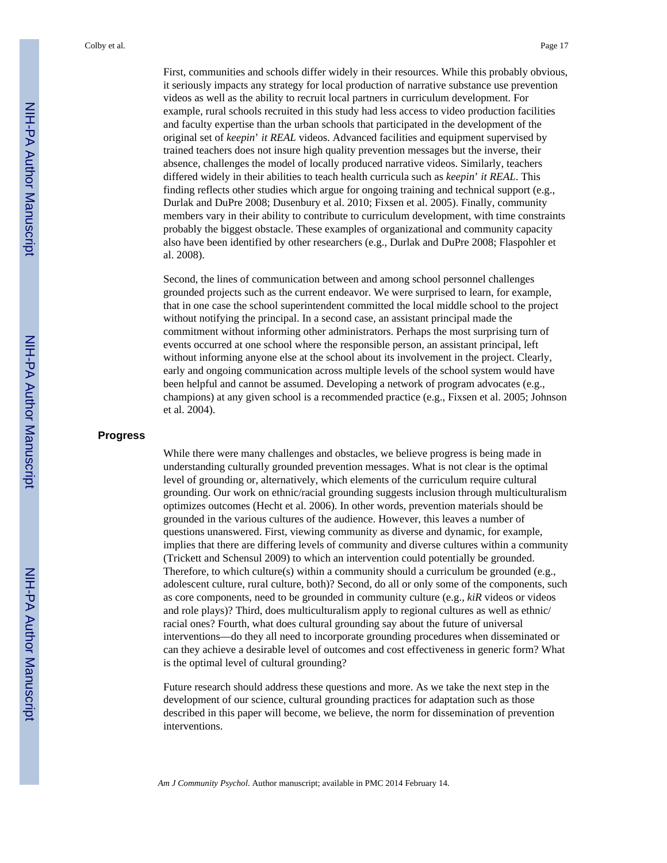First, communities and schools differ widely in their resources. While this probably obvious, it seriously impacts any strategy for local production of narrative substance use prevention videos as well as the ability to recruit local partners in curriculum development. For example, rural schools recruited in this study had less access to video production facilities and faculty expertise than the urban schools that participated in the development of the original set of *keepin*' *it REAL* videos. Advanced facilities and equipment supervised by trained teachers does not insure high quality prevention messages but the inverse, their absence, challenges the model of locally produced narrative videos. Similarly, teachers differed widely in their abilities to teach health curricula such as *keepin*' *it REAL*. This finding reflects other studies which argue for ongoing training and technical support (e.g., Durlak and DuPre 2008; Dusenbury et al. 2010; Fixsen et al. 2005). Finally, community members vary in their ability to contribute to curriculum development, with time constraints probably the biggest obstacle. These examples of organizational and community capacity also have been identified by other researchers (e.g., Durlak and DuPre 2008; Flaspohler et al. 2008).

Second, the lines of communication between and among school personnel challenges grounded projects such as the current endeavor. We were surprised to learn, for example, that in one case the school superintendent committed the local middle school to the project without notifying the principal. In a second case, an assistant principal made the commitment without informing other administrators. Perhaps the most surprising turn of events occurred at one school where the responsible person, an assistant principal, left without informing anyone else at the school about its involvement in the project. Clearly, early and ongoing communication across multiple levels of the school system would have been helpful and cannot be assumed. Developing a network of program advocates (e.g., champions) at any given school is a recommended practice (e.g., Fixsen et al. 2005; Johnson et al. 2004).

#### **Progress**

While there were many challenges and obstacles, we believe progress is being made in understanding culturally grounded prevention messages. What is not clear is the optimal level of grounding or, alternatively, which elements of the curriculum require cultural grounding. Our work on ethnic/racial grounding suggests inclusion through multiculturalism optimizes outcomes (Hecht et al. 2006). In other words, prevention materials should be grounded in the various cultures of the audience. However, this leaves a number of questions unanswered. First, viewing community as diverse and dynamic, for example, implies that there are differing levels of community and diverse cultures within a community (Trickett and Schensul 2009) to which an intervention could potentially be grounded. Therefore, to which culture(s) within a community should a curriculum be grounded (e.g., adolescent culture, rural culture, both)? Second, do all or only some of the components, such as core components, need to be grounded in community culture (e.g., *kiR* videos or videos and role plays)? Third, does multiculturalism apply to regional cultures as well as ethnic/ racial ones? Fourth, what does cultural grounding say about the future of universal interventions—do they all need to incorporate grounding procedures when disseminated or can they achieve a desirable level of outcomes and cost effectiveness in generic form? What is the optimal level of cultural grounding?

Future research should address these questions and more. As we take the next step in the development of our science, cultural grounding practices for adaptation such as those described in this paper will become, we believe, the norm for dissemination of prevention interventions.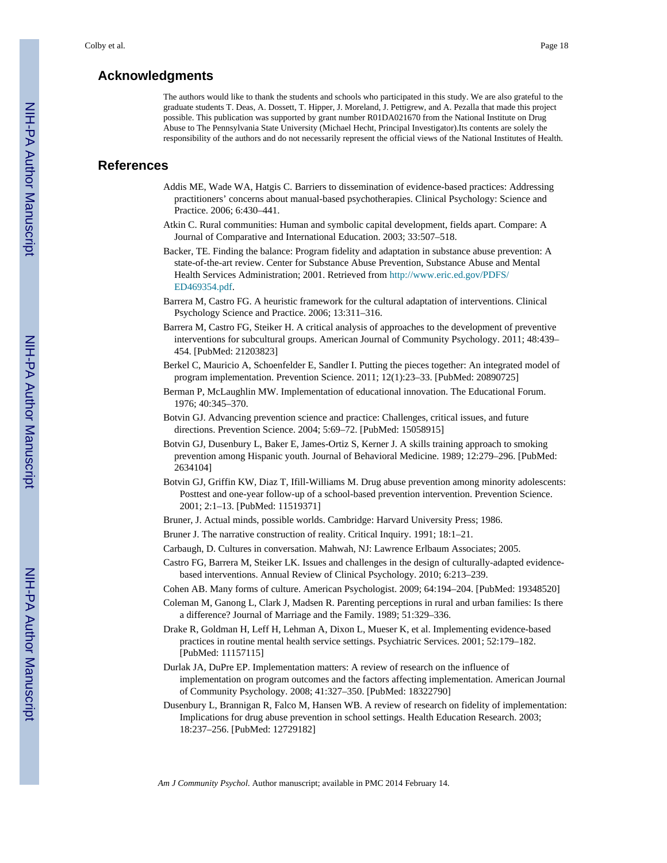# **Acknowledgments**

The authors would like to thank the students and schools who participated in this study. We are also grateful to the graduate students T. Deas, A. Dossett, T. Hipper, J. Moreland, J. Pettigrew, and A. Pezalla that made this project possible. This publication was supported by grant number R01DA021670 from the National Institute on Drug Abuse to The Pennsylvania State University (Michael Hecht, Principal Investigator).Its contents are solely the responsibility of the authors and do not necessarily represent the official views of the National Institutes of Health.

# **References**

- Addis ME, Wade WA, Hatgis C. Barriers to dissemination of evidence-based practices: Addressing practitioners' concerns about manual-based psychotherapies. Clinical Psychology: Science and Practice. 2006; 6:430–441.
- Atkin C. Rural communities: Human and symbolic capital development, fields apart. Compare: A Journal of Comparative and International Education. 2003; 33:507–518.
- Backer, TE. Finding the balance: Program fidelity and adaptation in substance abuse prevention: A state-of-the-art review. Center for Substance Abuse Prevention, Substance Abuse and Mental Health Services Administration; 2001. Retrieved from [http://www.eric.ed.gov/PDFS/](http://www.eric.ed.gov/PDFS/ED469354.pdf) [ED469354.pdf](http://www.eric.ed.gov/PDFS/ED469354.pdf).
- Barrera M, Castro FG. A heuristic framework for the cultural adaptation of interventions. Clinical Psychology Science and Practice. 2006; 13:311–316.
- Barrera M, Castro FG, Steiker H. A critical analysis of approaches to the development of preventive interventions for subcultural groups. American Journal of Community Psychology. 2011; 48:439– 454. [PubMed: 21203823]
- Berkel C, Mauricio A, Schoenfelder E, Sandler I. Putting the pieces together: An integrated model of program implementation. Prevention Science. 2011; 12(1):23–33. [PubMed: 20890725]
- Berman P, McLaughlin MW. Implementation of educational innovation. The Educational Forum. 1976; 40:345–370.
- Botvin GJ. Advancing prevention science and practice: Challenges, critical issues, and future directions. Prevention Science. 2004; 5:69–72. [PubMed: 15058915]
- Botvin GJ, Dusenbury L, Baker E, James-Ortiz S, Kerner J. A skills training approach to smoking prevention among Hispanic youth. Journal of Behavioral Medicine. 1989; 12:279–296. [PubMed: 2634104]
- Botvin GJ, Griffin KW, Diaz T, Ifill-Williams M. Drug abuse prevention among minority adolescents: Posttest and one-year follow-up of a school-based prevention intervention. Prevention Science. 2001; 2:1–13. [PubMed: 11519371]
- Bruner, J. Actual minds, possible worlds. Cambridge: Harvard University Press; 1986.
- Bruner J. The narrative construction of reality. Critical Inquiry. 1991; 18:1–21.
- Carbaugh, D. Cultures in conversation. Mahwah, NJ: Lawrence Erlbaum Associates; 2005.
- Castro FG, Barrera M, Steiker LK. Issues and challenges in the design of culturally-adapted evidencebased interventions. Annual Review of Clinical Psychology. 2010; 6:213–239.
- Cohen AB. Many forms of culture. American Psychologist. 2009; 64:194–204. [PubMed: 19348520]
- Coleman M, Ganong L, Clark J, Madsen R. Parenting perceptions in rural and urban families: Is there a difference? Journal of Marriage and the Family. 1989; 51:329–336.
- Drake R, Goldman H, Leff H, Lehman A, Dixon L, Mueser K, et al. Implementing evidence-based practices in routine mental health service settings. Psychiatric Services. 2001; 52:179–182. [PubMed: 11157115]
- Durlak JA, DuPre EP. Implementation matters: A review of research on the influence of implementation on program outcomes and the factors affecting implementation. American Journal of Community Psychology. 2008; 41:327–350. [PubMed: 18322790]
- Dusenbury L, Brannigan R, Falco M, Hansen WB. A review of research on fidelity of implementation: Implications for drug abuse prevention in school settings. Health Education Research. 2003; 18:237–256. [PubMed: 12729182]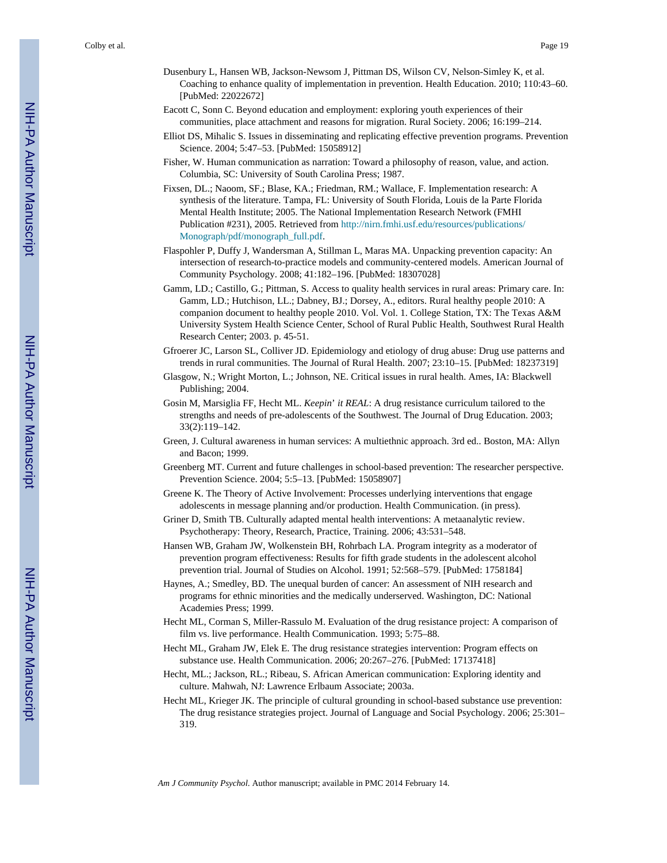- Dusenbury L, Hansen WB, Jackson-Newsom J, Pittman DS, Wilson CV, Nelson-Simley K, et al. Coaching to enhance quality of implementation in prevention. Health Education. 2010; 110:43–60. [PubMed: 22022672]
- Eacott C, Sonn C. Beyond education and employment: exploring youth experiences of their communities, place attachment and reasons for migration. Rural Society. 2006; 16:199–214.
- Elliot DS, Mihalic S. Issues in disseminating and replicating effective prevention programs. Prevention Science. 2004; 5:47–53. [PubMed: 15058912]
- Fisher, W. Human communication as narration: Toward a philosophy of reason, value, and action. Columbia, SC: University of South Carolina Press; 1987.
- Fixsen, DL.; Naoom, SF.; Blase, KA.; Friedman, RM.; Wallace, F. Implementation research: A synthesis of the literature. Tampa, FL: University of South Florida, Louis de la Parte Florida Mental Health Institute; 2005. The National Implementation Research Network (FMHI Publication #231), 2005. Retrieved from [http://nirn.fmhi.usf.edu/resources/publications/](http://nirn.fmhi.usf.edu/resources/publications/Monograph/pdf/monograph_full.pdf) [Monograph/pdf/monograph\\_full.pdf](http://nirn.fmhi.usf.edu/resources/publications/Monograph/pdf/monograph_full.pdf).
- Flaspohler P, Duffy J, Wandersman A, Stillman L, Maras MA. Unpacking prevention capacity: An intersection of research-to-practice models and community-centered models. American Journal of Community Psychology. 2008; 41:182–196. [PubMed: 18307028]
- Gamm, LD.; Castillo, G.; Pittman, S. Access to quality health services in rural areas: Primary care. In: Gamm, LD.; Hutchison, LL.; Dabney, BJ.; Dorsey, A., editors. Rural healthy people 2010: A companion document to healthy people 2010. Vol. Vol. 1. College Station, TX: The Texas A&M University System Health Science Center, School of Rural Public Health, Southwest Rural Health Research Center; 2003. p. 45-51.
- Gfroerer JC, Larson SL, Colliver JD. Epidemiology and etiology of drug abuse: Drug use patterns and trends in rural communities. The Journal of Rural Health. 2007; 23:10–15. [PubMed: 18237319]
- Glasgow, N.; Wright Morton, L.; Johnson, NE. Critical issues in rural health. Ames, IA: Blackwell Publishing; 2004.
- Gosin M, Marsiglia FF, Hecht ML. *Keepin*' *it REAL*: A drug resistance curriculum tailored to the strengths and needs of pre-adolescents of the Southwest. The Journal of Drug Education. 2003; 33(2):119–142.
- Green, J. Cultural awareness in human services: A multiethnic approach. 3rd ed.. Boston, MA: Allyn and Bacon; 1999.
- Greenberg MT. Current and future challenges in school-based prevention: The researcher perspective. Prevention Science. 2004; 5:5–13. [PubMed: 15058907]
- Greene K. The Theory of Active Involvement: Processes underlying interventions that engage adolescents in message planning and/or production. Health Communication. (in press).
- Griner D, Smith TB. Culturally adapted mental health interventions: A metaanalytic review. Psychotherapy: Theory, Research, Practice, Training. 2006; 43:531–548.
- Hansen WB, Graham JW, Wolkenstein BH, Rohrbach LA. Program integrity as a moderator of prevention program effectiveness: Results for fifth grade students in the adolescent alcohol prevention trial. Journal of Studies on Alcohol. 1991; 52:568–579. [PubMed: 1758184]
- Haynes, A.; Smedley, BD. The unequal burden of cancer: An assessment of NIH research and programs for ethnic minorities and the medically underserved. Washington, DC: National Academies Press; 1999.
- Hecht ML, Corman S, Miller-Rassulo M. Evaluation of the drug resistance project: A comparison of film vs. live performance. Health Communication. 1993; 5:75–88.
- Hecht ML, Graham JW, Elek E. The drug resistance strategies intervention: Program effects on substance use. Health Communication. 2006; 20:267–276. [PubMed: 17137418]
- Hecht, ML.; Jackson, RL.; Ribeau, S. African American communication: Exploring identity and culture. Mahwah, NJ: Lawrence Erlbaum Associate; 2003a.
- Hecht ML, Krieger JK. The principle of cultural grounding in school-based substance use prevention: The drug resistance strategies project. Journal of Language and Social Psychology. 2006; 25:301– 319.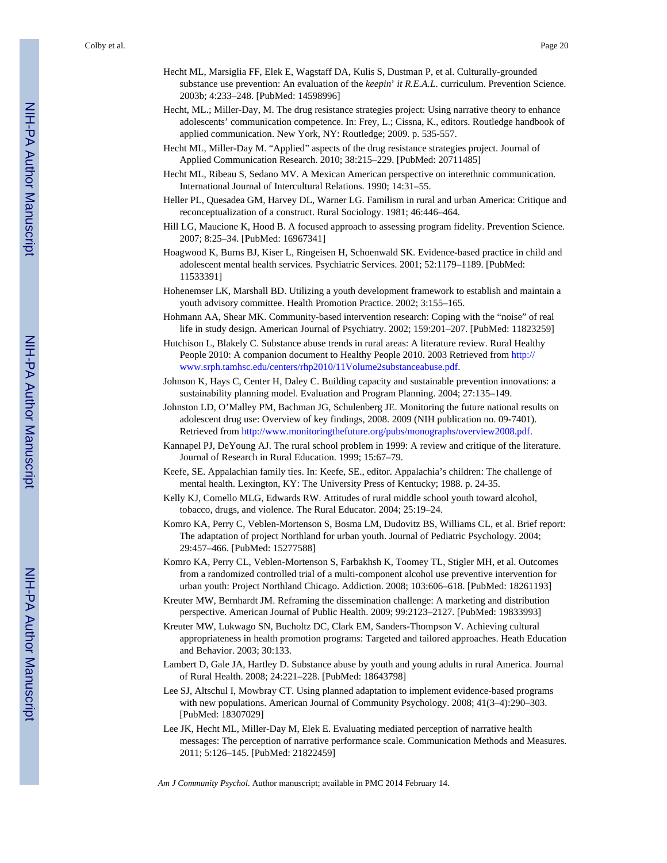- Hecht ML, Marsiglia FF, Elek E, Wagstaff DA, Kulis S, Dustman P, et al. Culturally-grounded substance use prevention: An evaluation of the *keepin*' *it R.E.A.L*. curriculum. Prevention Science. 2003b; 4:233–248. [PubMed: 14598996]
- Hecht, ML.; Miller-Day, M. The drug resistance strategies project: Using narrative theory to enhance adolescents' communication competence. In: Frey, L.; Cissna, K., editors. Routledge handbook of applied communication. New York, NY: Routledge; 2009. p. 535-557.
- Hecht ML, Miller-Day M. "Applied" aspects of the drug resistance strategies project. Journal of Applied Communication Research. 2010; 38:215–229. [PubMed: 20711485]
- Hecht ML, Ribeau S, Sedano MV. A Mexican American perspective on interethnic communication. International Journal of Intercultural Relations. 1990; 14:31–55.
- Heller PL, Quesadea GM, Harvey DL, Warner LG. Familism in rural and urban America: Critique and reconceptualization of a construct. Rural Sociology. 1981; 46:446–464.
- Hill LG, Maucione K, Hood B. A focused approach to assessing program fidelity. Prevention Science. 2007; 8:25–34. [PubMed: 16967341]
- Hoagwood K, Burns BJ, Kiser L, Ringeisen H, Schoenwald SK. Evidence-based practice in child and adolescent mental health services. Psychiatric Services. 2001; 52:1179–1189. [PubMed: 11533391]
- Hohenemser LK, Marshall BD. Utilizing a youth development framework to establish and maintain a youth advisory committee. Health Promotion Practice. 2002; 3:155–165.
- Hohmann AA, Shear MK. Community-based intervention research: Coping with the "noise" of real life in study design. American Journal of Psychiatry. 2002; 159:201–207. [PubMed: 11823259]
- Hutchison L, Blakely C. Substance abuse trends in rural areas: A literature review. Rural Healthy People 2010: A companion document to Healthy People 2010. 2003 Retrieved from [http://](http://www.srph.tamhsc.edu/centers/rhp2010/11Volume2substanceabuse.pdf) [www.srph.tamhsc.edu/centers/rhp2010/11Volume2substanceabuse.pdf](http://www.srph.tamhsc.edu/centers/rhp2010/11Volume2substanceabuse.pdf).
- Johnson K, Hays C, Center H, Daley C. Building capacity and sustainable prevention innovations: a sustainability planning model. Evaluation and Program Planning. 2004; 27:135–149.
- Johnston LD, O'Malley PM, Bachman JG, Schulenberg JE. Monitoring the future national results on adolescent drug use: Overview of key findings, 2008. 2009 (NIH publication no. 09-7401). Retrieved from [http://www.monitoringthefuture.org/pubs/monographs/overview2008.pdf.](http://www.monitoringthefuture.org/pubs/monographs/overview2008.pdf)
- Kannapel PJ, DeYoung AJ. The rural school problem in 1999: A review and critique of the literature. Journal of Research in Rural Education. 1999; 15:67–79.
- Keefe, SE. Appalachian family ties. In: Keefe, SE., editor. Appalachia's children: The challenge of mental health. Lexington, KY: The University Press of Kentucky; 1988. p. 24-35.
- Kelly KJ, Comello MLG, Edwards RW. Attitudes of rural middle school youth toward alcohol, tobacco, drugs, and violence. The Rural Educator. 2004; 25:19–24.
- Komro KA, Perry C, Veblen-Mortenson S, Bosma LM, Dudovitz BS, Williams CL, et al. Brief report: The adaptation of project Northland for urban youth. Journal of Pediatric Psychology. 2004; 29:457–466. [PubMed: 15277588]
- Komro KA, Perry CL, Veblen-Mortenson S, Farbakhsh K, Toomey TL, Stigler MH, et al. Outcomes from a randomized controlled trial of a multi-component alcohol use preventive intervention for urban youth: Project Northland Chicago. Addiction. 2008; 103:606–618. [PubMed: 18261193]
- Kreuter MW, Bernhardt JM. Reframing the dissemination challenge: A marketing and distribution perspective. American Journal of Public Health. 2009; 99:2123–2127. [PubMed: 19833993]
- Kreuter MW, Lukwago SN, Bucholtz DC, Clark EM, Sanders-Thompson V. Achieving cultural appropriateness in health promotion programs: Targeted and tailored approaches. Heath Education and Behavior. 2003; 30:133.
- Lambert D, Gale JA, Hartley D. Substance abuse by youth and young adults in rural America. Journal of Rural Health. 2008; 24:221–228. [PubMed: 18643798]
- Lee SJ, Altschul I, Mowbray CT. Using planned adaptation to implement evidence-based programs with new populations. American Journal of Community Psychology. 2008; 41(3-4):290-303. [PubMed: 18307029]
- Lee JK, Hecht ML, Miller-Day M, Elek E. Evaluating mediated perception of narrative health messages: The perception of narrative performance scale. Communication Methods and Measures. 2011; 5:126–145. [PubMed: 21822459]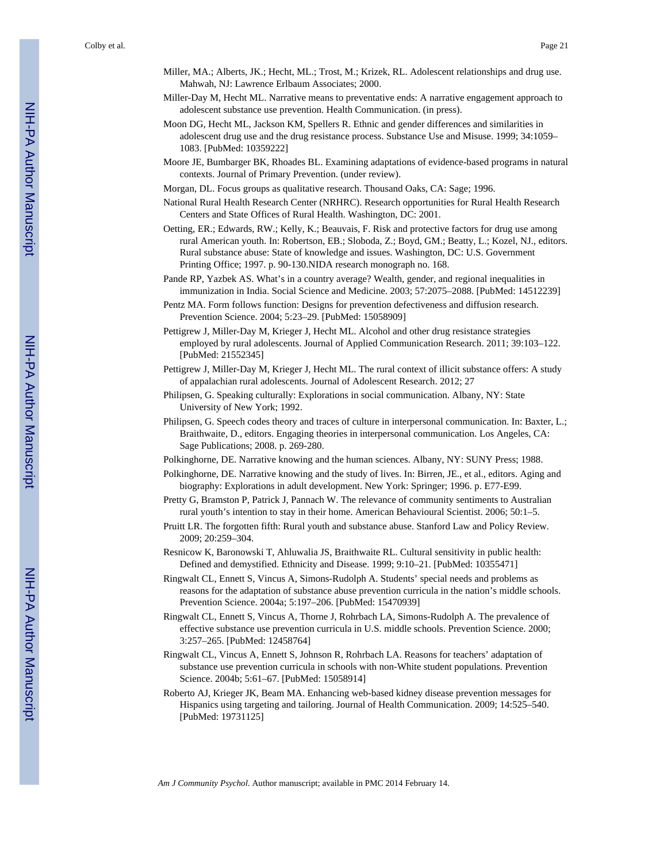- Miller, MA.; Alberts, JK.; Hecht, ML.; Trost, M.; Krizek, RL. Adolescent relationships and drug use. Mahwah, NJ: Lawrence Erlbaum Associates; 2000.
- Miller-Day M, Hecht ML. Narrative means to preventative ends: A narrative engagement approach to adolescent substance use prevention. Health Communication. (in press).
- Moon DG, Hecht ML, Jackson KM, Spellers R. Ethnic and gender differences and similarities in adolescent drug use and the drug resistance process. Substance Use and Misuse. 1999; 34:1059– 1083. [PubMed: 10359222]
- Moore JE, Bumbarger BK, Rhoades BL. Examining adaptations of evidence-based programs in natural contexts. Journal of Primary Prevention. (under review).
- Morgan, DL. Focus groups as qualitative research. Thousand Oaks, CA: Sage; 1996.
- National Rural Health Research Center (NRHRC). Research opportunities for Rural Health Research Centers and State Offices of Rural Health. Washington, DC: 2001.
- Oetting, ER.; Edwards, RW.; Kelly, K.; Beauvais, F. Risk and protective factors for drug use among rural American youth. In: Robertson, EB.; Sloboda, Z.; Boyd, GM.; Beatty, L.; Kozel, NJ., editors. Rural substance abuse: State of knowledge and issues. Washington, DC: U.S. Government Printing Office; 1997. p. 90-130.NIDA research monograph no. 168.
- Pande RP, Yazbek AS. What's in a country average? Wealth, gender, and regional inequalities in immunization in India. Social Science and Medicine. 2003; 57:2075–2088. [PubMed: 14512239]
- Pentz MA. Form follows function: Designs for prevention defectiveness and diffusion research. Prevention Science. 2004; 5:23–29. [PubMed: 15058909]
- Pettigrew J, Miller-Day M, Krieger J, Hecht ML. Alcohol and other drug resistance strategies employed by rural adolescents. Journal of Applied Communication Research. 2011; 39:103–122. [PubMed: 21552345]
- Pettigrew J, Miller-Day M, Krieger J, Hecht ML. The rural context of illicit substance offers: A study of appalachian rural adolescents. Journal of Adolescent Research. 2012; 27
- Philipsen, G. Speaking culturally: Explorations in social communication. Albany, NY: State University of New York; 1992.
- Philipsen, G. Speech codes theory and traces of culture in interpersonal communication. In: Baxter, L.; Braithwaite, D., editors. Engaging theories in interpersonal communication. Los Angeles, CA: Sage Publications; 2008. p. 269-280.
- Polkinghorne, DE. Narrative knowing and the human sciences. Albany, NY: SUNY Press; 1988.
- Polkinghorne, DE. Narrative knowing and the study of lives. In: Birren, JE., et al., editors. Aging and biography: Explorations in adult development. New York: Springer; 1996. p. E77-E99.
- Pretty G, Bramston P, Patrick J, Pannach W. The relevance of community sentiments to Australian rural youth's intention to stay in their home. American Behavioural Scientist. 2006; 50:1–5.
- Pruitt LR. The forgotten fifth: Rural youth and substance abuse. Stanford Law and Policy Review. 2009; 20:259–304.
- Resnicow K, Baronowski T, Ahluwalia JS, Braithwaite RL. Cultural sensitivity in public health: Defined and demystified. Ethnicity and Disease. 1999; 9:10–21. [PubMed: 10355471]
- Ringwalt CL, Ennett S, Vincus A, Simons-Rudolph A. Students' special needs and problems as reasons for the adaptation of substance abuse prevention curricula in the nation's middle schools. Prevention Science. 2004a; 5:197–206. [PubMed: 15470939]
- Ringwalt CL, Ennett S, Vincus A, Thorne J, Rohrbach LA, Simons-Rudolph A. The prevalence of effective substance use prevention curricula in U.S. middle schools. Prevention Science. 2000; 3:257–265. [PubMed: 12458764]
- Ringwalt CL, Vincus A, Ennett S, Johnson R, Rohrbach LA. Reasons for teachers' adaptation of substance use prevention curricula in schools with non-White student populations. Prevention Science. 2004b; 5:61–67. [PubMed: 15058914]
- Roberto AJ, Krieger JK, Beam MA. Enhancing web-based kidney disease prevention messages for Hispanics using targeting and tailoring. Journal of Health Communication. 2009; 14:525–540. [PubMed: 19731125]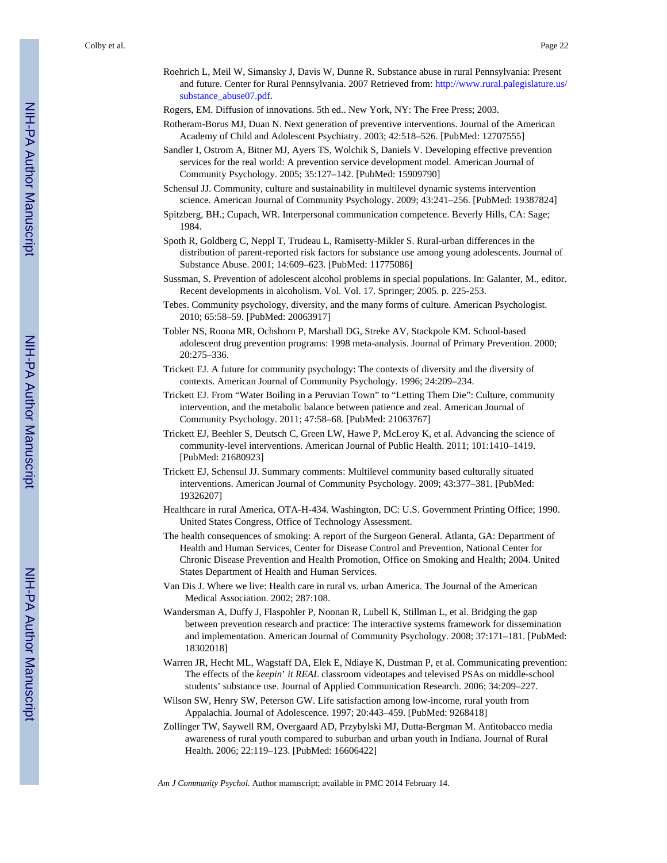Roehrich L, Meil W, Simansky J, Davis W, Dunne R. Substance abuse in rural Pennsylvania: Present and future. Center for Rural Pennsylvania. 2007 Retrieved from: [http://www.rural.palegislature.us/](http://www.rural.palegislature.us/substance_abuse07.pdf) [substance\\_abuse07.pdf](http://www.rural.palegislature.us/substance_abuse07.pdf).

Rogers, EM. Diffusion of innovations. 5th ed.. New York, NY: The Free Press; 2003.

- Rotheram-Borus MJ, Duan N. Next generation of preventive interventions. Journal of the American Academy of Child and Adolescent Psychiatry. 2003; 42:518–526. [PubMed: 12707555]
- Sandler I, Ostrom A, Bitner MJ, Ayers TS, Wolchik S, Daniels V. Developing effective prevention services for the real world: A prevention service development model. American Journal of Community Psychology. 2005; 35:127–142. [PubMed: 15909790]
- Schensul JJ. Community, culture and sustainability in multilevel dynamic systems intervention science. American Journal of Community Psychology. 2009; 43:241–256. [PubMed: 19387824]
- Spitzberg, BH.; Cupach, WR. Interpersonal communication competence. Beverly Hills, CA: Sage; 1984.
- Spoth R, Goldberg C, Neppl T, Trudeau L, Ramisetty-Mikler S. Rural-urban differences in the distribution of parent-reported risk factors for substance use among young adolescents. Journal of Substance Abuse. 2001; 14:609–623. [PubMed: 11775086]
- Sussman, S. Prevention of adolescent alcohol problems in special populations. In: Galanter, M., editor. Recent developments in alcoholism. Vol. Vol. 17. Springer; 2005. p. 225-253.
- Tebes. Community psychology, diversity, and the many forms of culture. American Psychologist. 2010; 65:58–59. [PubMed: 20063917]
- Tobler NS, Roona MR, Ochshorn P, Marshall DG, Streke AV, Stackpole KM. School-based adolescent drug prevention programs: 1998 meta-analysis. Journal of Primary Prevention. 2000; 20:275–336.
- Trickett EJ. A future for community psychology: The contexts of diversity and the diversity of contexts. American Journal of Community Psychology. 1996; 24:209–234.
- Trickett EJ. From "Water Boiling in a Peruvian Town" to "Letting Them Die": Culture, community intervention, and the metabolic balance between patience and zeal. American Journal of Community Psychology. 2011; 47:58–68. [PubMed: 21063767]
- Trickett EJ, Beehler S, Deutsch C, Green LW, Hawe P, McLeroy K, et al. Advancing the science of community-level interventions. American Journal of Public Health. 2011; 101:1410–1419. [PubMed: 21680923]
- Trickett EJ, Schensul JJ. Summary comments: Multilevel community based culturally situated interventions. American Journal of Community Psychology. 2009; 43:377–381. [PubMed: 19326207]
- Healthcare in rural America, OTA-H-434. Washington, DC: U.S. Government Printing Office; 1990. United States Congress, Office of Technology Assessment.
- The health consequences of smoking: A report of the Surgeon General. Atlanta, GA: Department of Health and Human Services, Center for Disease Control and Prevention, National Center for Chronic Disease Prevention and Health Promotion, Office on Smoking and Health; 2004. United States Department of Health and Human Services.
- Van Dis J. Where we live: Health care in rural vs. urban America. The Journal of the American Medical Association. 2002; 287:108.
- Wandersman A, Duffy J, Flaspohler P, Noonan R, Lubell K, Stillman L, et al. Bridging the gap between prevention research and practice: The interactive systems framework for dissemination and implementation. American Journal of Community Psychology. 2008; 37:171–181. [PubMed: 18302018]
- Warren JR, Hecht ML, Wagstaff DA, Elek E, Ndiaye K, Dustman P, et al. Communicating prevention: The effects of the *keepin*' *it REAL* classroom videotapes and televised PSAs on middle-school students' substance use. Journal of Applied Communication Research. 2006; 34:209–227.
- Wilson SW, Henry SW, Peterson GW. Life satisfaction among low-income, rural youth from Appalachia. Journal of Adolescence. 1997; 20:443–459. [PubMed: 9268418]
- Zollinger TW, Saywell RM, Overgaard AD, Przybylski MJ, Dutta-Bergman M. Antitobacco media awareness of rural youth compared to suburban and urban youth in Indiana. Journal of Rural Health. 2006; 22:119–123. [PubMed: 16606422]